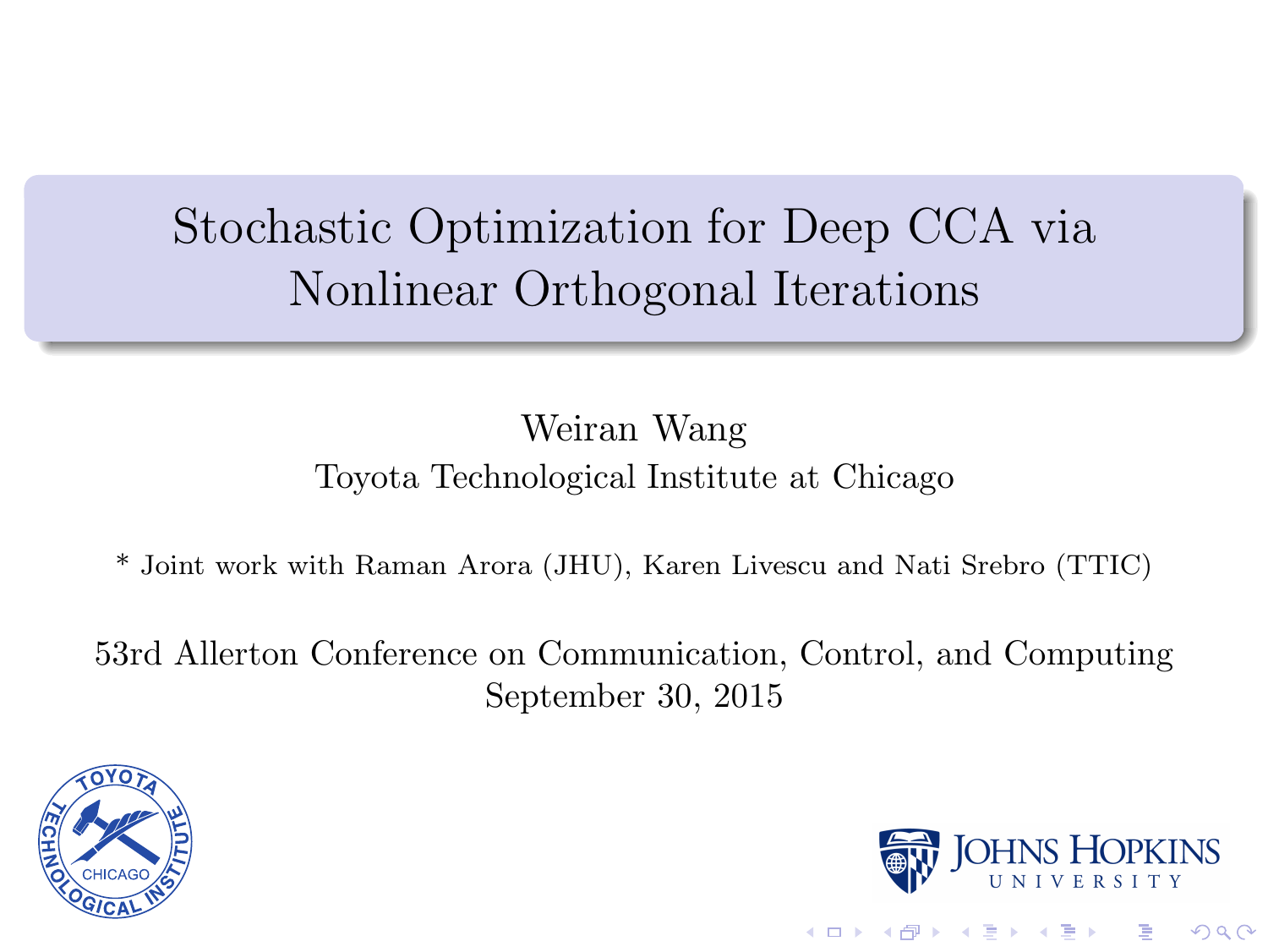# Stochastic Optimization for Deep CCA via Nonlinear Orthogonal Iterations

#### Weiran Wang Toyota Technological Institute at Chicago

\* Joint work with Raman Arora (JHU), Karen Livescu and Nati Srebro (TTIC)

53rd Allerton Conference on Communication, Control, and Computing September 30, 2015





 $2990$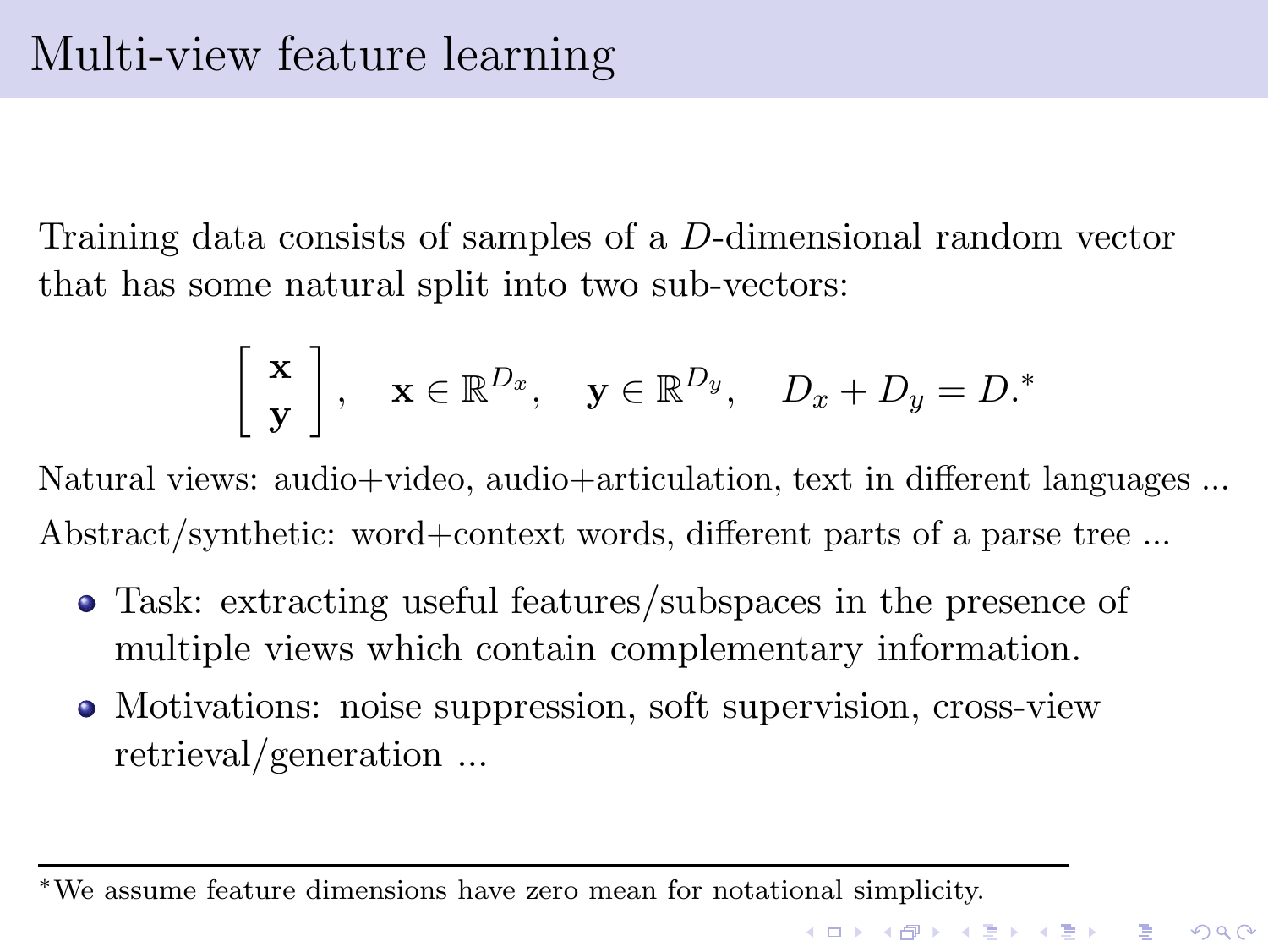Training data consists of samples of a D-dimensional random vector that has some natural split into two sub-vectors:

$$
\left[\begin{array}{c}\mathbf{x}\\ \mathbf{y}\end{array}\right], \quad \mathbf{x} \in \mathbb{R}^{D_x}, \quad \mathbf{y} \in \mathbb{R}^{D_y}, \quad D_x + D_y = D.
$$

Natural views: audio+video, audio+articulation, text in different languages ... Abstract/synthetic: word+context words, different parts of a parse tree ...

- Task: extracting useful features/subspaces in the presence of multiple views which contain complementary information.
- Motivations: noise suppression, soft supervision, cross-view retrieval/generation ...

<sup>∗</sup>We assume feature dimensions have zero mean for notational simplicity.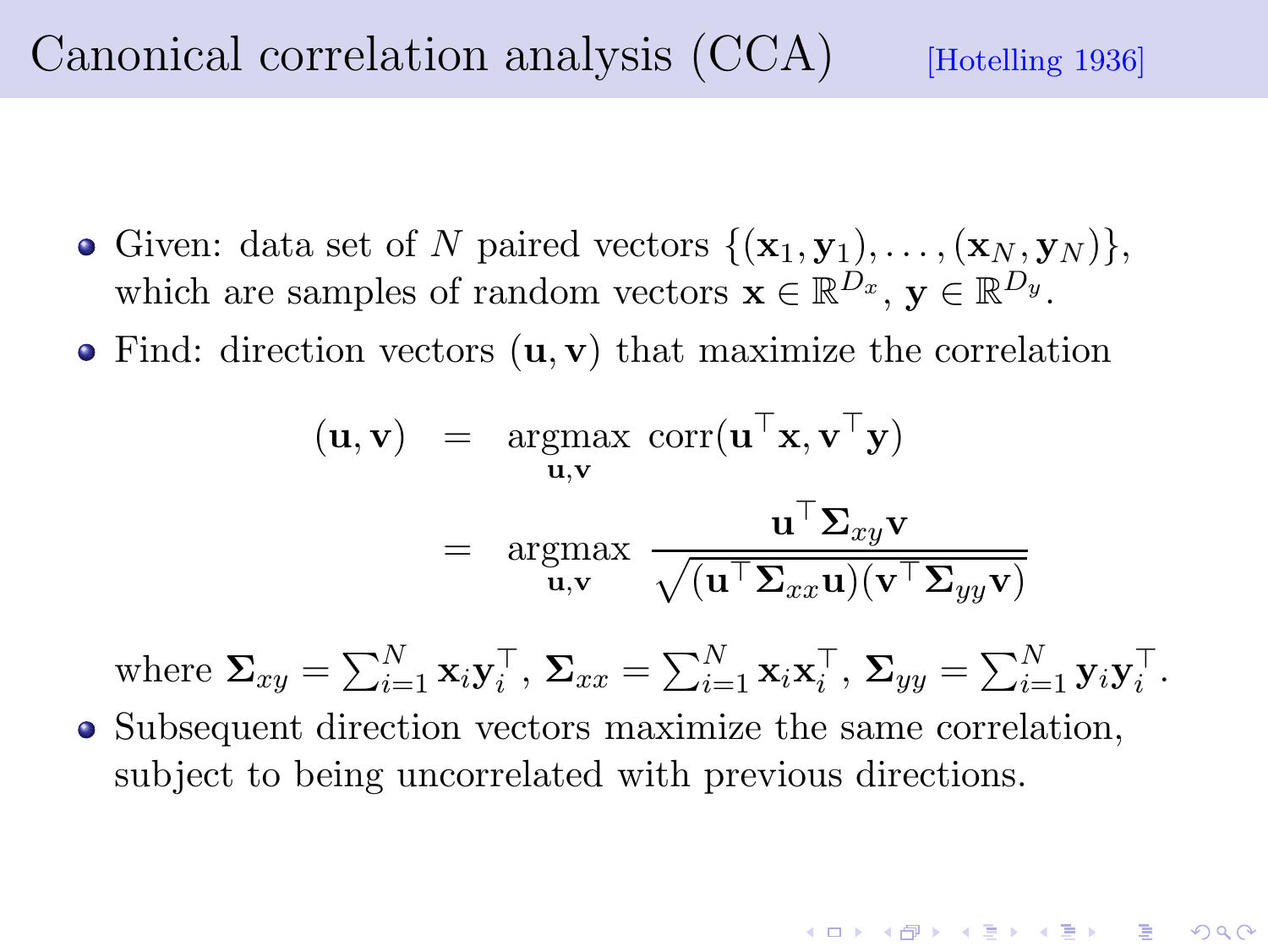Canonical correlation analysis  $(CCA)$  [Hotelling 1936]

- Given: data set of N paired vectors  $\{(\mathbf{x}_1, \mathbf{y}_1), \ldots, (\mathbf{x}_N, \mathbf{y}_N)\},\$ which are samples of random vectors  $\mathbf{x} \in \mathbb{R}^{D_x}$ ,  $\mathbf{y} \in \mathbb{R}^{D_y}$ .
- $\bullet$  Find: direction vectors  $(\mathbf{u}, \mathbf{v})$  that maximize the correlation

$$
(\mathbf{u}, \mathbf{v}) = \underset{\mathbf{u}, \mathbf{v}}{\operatorname{argmax}} \ \mathrm{corr}(\mathbf{u}^{\top} \mathbf{x}, \mathbf{v}^{\top} \mathbf{y})
$$

$$
= \underset{\mathbf{u}, \mathbf{v}}{\operatorname{argmax}} \ \frac{\mathbf{u}^{\top} \mathbf{\Sigma}_{xy} \mathbf{v}}{\sqrt{(\mathbf{u}^{\top} \mathbf{\Sigma}_{xx} \mathbf{u})(\mathbf{v}^{\top} \mathbf{\Sigma}_{yy} \mathbf{v})}}
$$

where 
$$
\Sigma_{xy} = \sum_{i=1}^{N} \mathbf{x}_i \mathbf{y}_i^{\top}, \ \Sigma_{xx} = \sum_{i=1}^{N} \mathbf{x}_i \mathbf{x}_i^{\top}, \ \Sigma_{yy} = \sum_{i=1}^{N} \mathbf{y}_i \mathbf{y}_i^{\top}.
$$

• Subsequent direction vectors maximize the same correlation, subject to being uncorrelated with previous directions.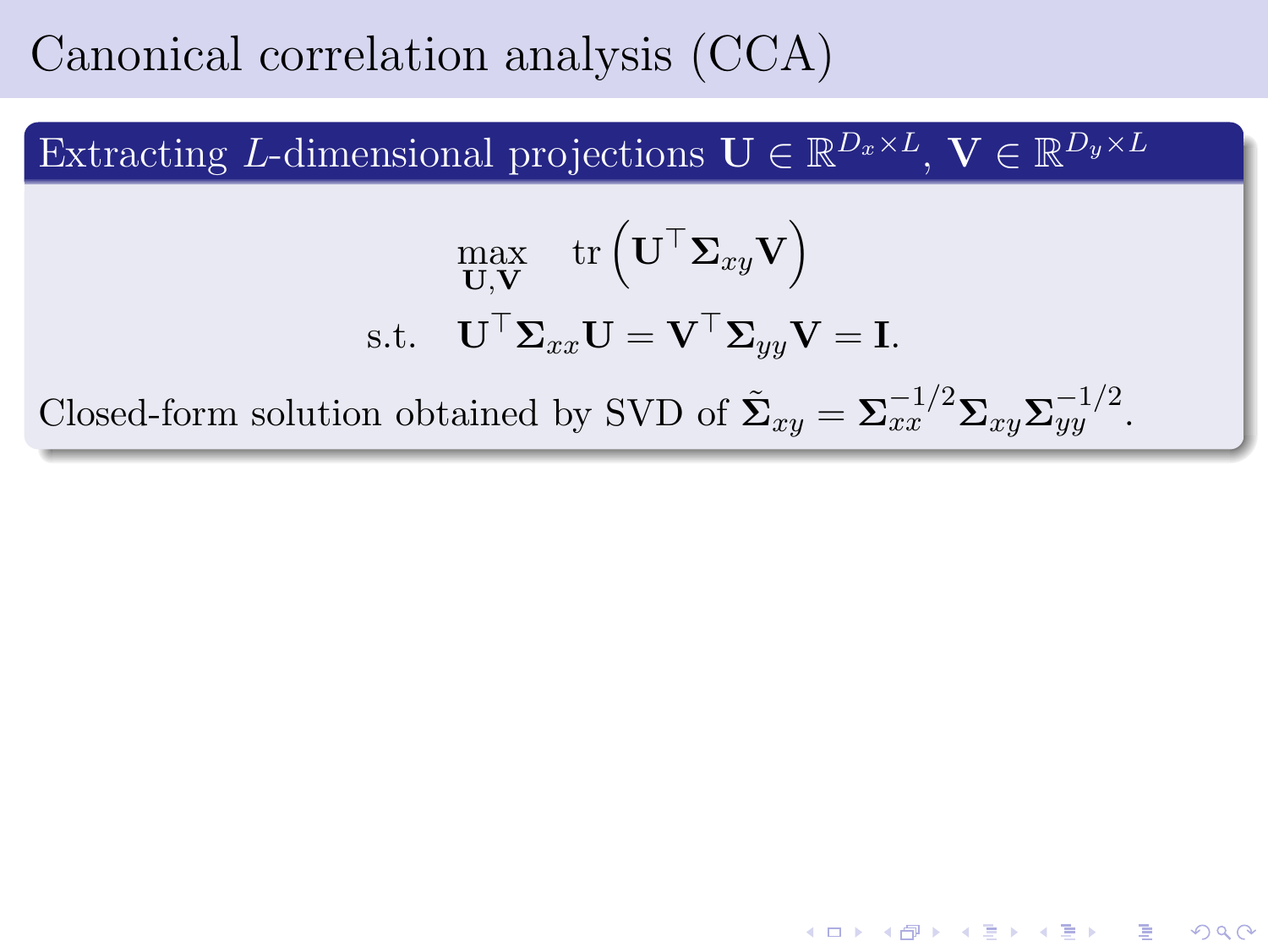#### Canonical correlation analysis (CCA)

Extracting L-dimensional projections  $\mathbf{U} \in \mathbb{R}^{D_x \times L}$ ,  $\mathbf{V} \in \mathbb{R}^{D_y \times L}$ 

$$
\max_{\mathbf{U}, \mathbf{V}} \text{ tr}\left(\mathbf{U}^{\top} \mathbf{\Sigma}_{xy} \mathbf{V}\right)
$$
  
s.t. 
$$
\mathbf{U}^{\top} \mathbf{\Sigma}_{xx} \mathbf{U} = \mathbf{V}^{\top} \mathbf{\Sigma}_{yy} \mathbf{V} = \mathbf{I}.
$$
  
Closed-form solution obtained by SVD of 
$$
\tilde{\mathbf{\Sigma}}_{xy} = \mathbf{\Sigma}_{xx}^{-1/2} \mathbf{\Sigma}_{xy} \mathbf{\Sigma}_{yy}^{-1/2}.
$$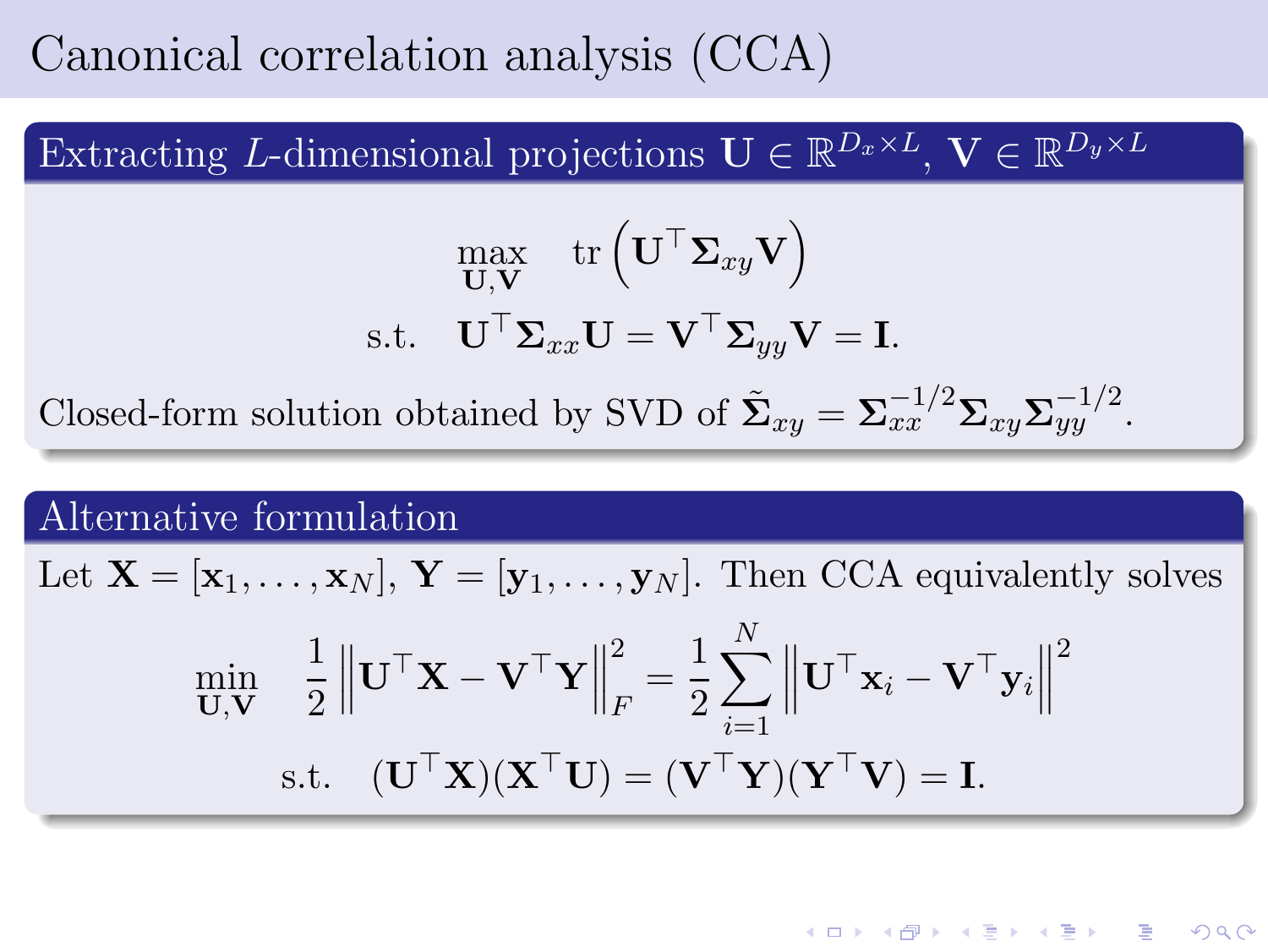### Canonical correlation analysis (CCA)

Extracting L-dimensional projections  $\mathbf{U} \in \mathbb{R}^{D_x \times L}$ ,  $\mathbf{V} \in \mathbb{R}^{D_y \times L}$ 

$$
\begin{aligned} \max_{\mathbf{U},\mathbf{V}} \quad & \text{tr}\left(\mathbf{U}^{\top}\mathbf{\Sigma}_{xy}\mathbf{V}\right) \\ \text{s.t.} \quad & \mathbf{U}^{\top}\mathbf{\Sigma}_{xx}\mathbf{U} = \mathbf{V}^{\top}\mathbf{\Sigma}_{yy}\mathbf{V} = \mathbf{I}. \end{aligned}
$$

Closed-form solution obtained by SVD of  $\tilde{\Sigma}_{xy} = \Sigma_{xx}^{-1/2} \Sigma_{xy} \Sigma_{yy}^{-1/2}$ .

#### Alternative formulation

Let  $X = [\mathbf{x}_1, \dots, \mathbf{x}_N], Y = [\mathbf{y}_1, \dots, \mathbf{y}_N].$  Then CCA equivalently solves

$$
\begin{aligned}\n\min_{\mathbf{U}, \mathbf{V}} & \quad \frac{1}{2} \left\| \mathbf{U}^\top \mathbf{X} - \mathbf{V}^\top \mathbf{Y} \right\|_F^2 = \frac{1}{2} \sum_{i=1}^N \left\| \mathbf{U}^\top \mathbf{x}_i - \mathbf{V}^\top \mathbf{y}_i \right\|^2 \\
\text{s.t.} & \quad (\mathbf{U}^\top \mathbf{X})(\mathbf{X}^\top \mathbf{U}) = (\mathbf{V}^\top \mathbf{Y})(\mathbf{Y}^\top \mathbf{V}) = \mathbf{I}.\n\end{aligned}
$$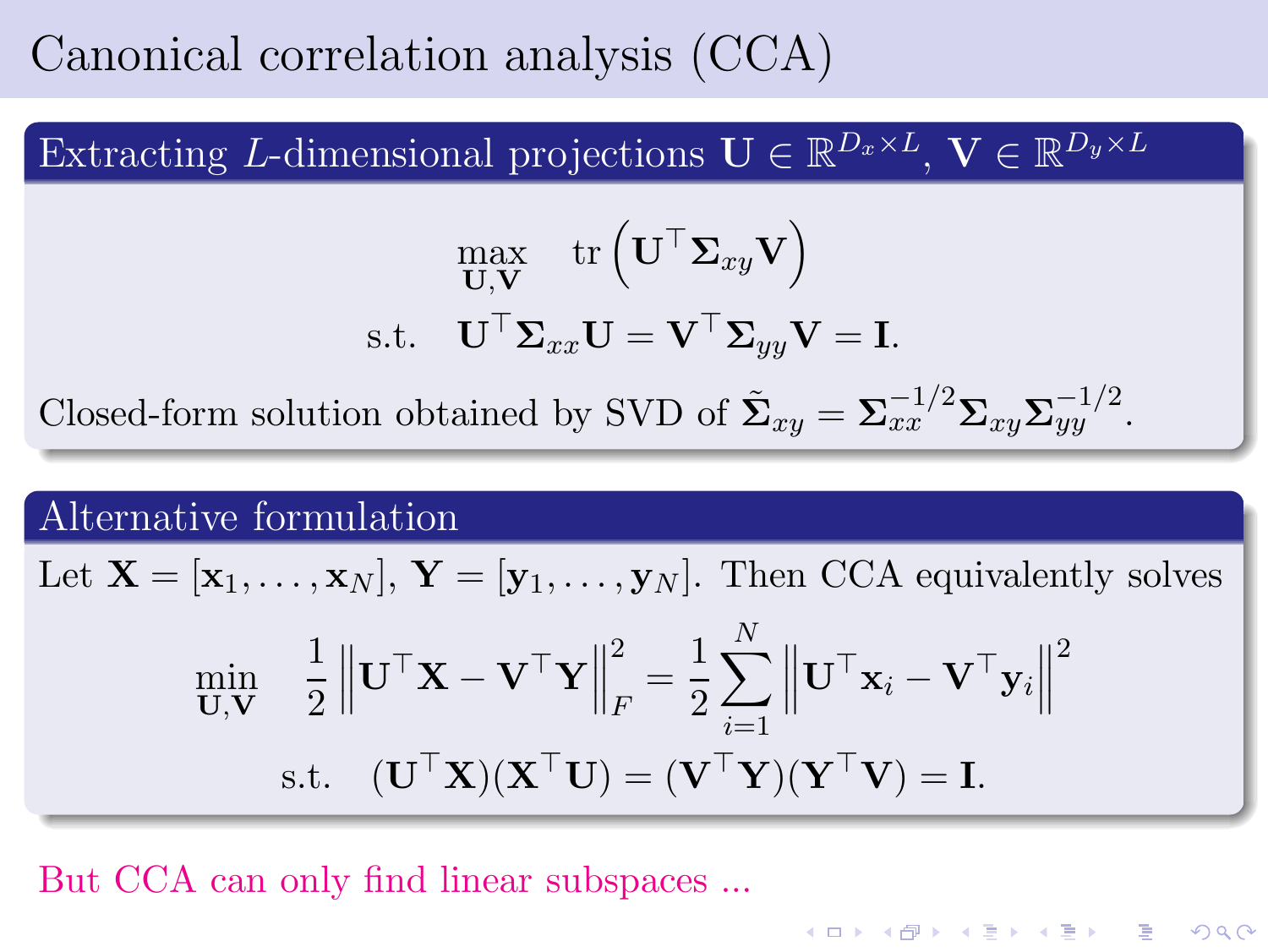## Canonical correlation analysis (CCA)

Extracting L-dimensional projections  $\mathbf{U} \in \mathbb{R}^{D_x \times L}$ ,  $\mathbf{V} \in \mathbb{R}^{D_y \times L}$ 

$$
\begin{aligned} \max_{\mathbf{U},\mathbf{V}} \quad & \text{tr}\left(\mathbf{U}^{\top}\mathbf{\Sigma}_{xy}\mathbf{V}\right) \\ \text{s.t.} \quad & \mathbf{U}^{\top}\mathbf{\Sigma}_{xx}\mathbf{U} = \mathbf{V}^{\top}\mathbf{\Sigma}_{yy}\mathbf{V} = \mathbf{I}. \end{aligned}
$$

Closed-form solution obtained by SVD of  $\tilde{\Sigma}_{xy} = \Sigma_{xx}^{-1/2} \Sigma_{xy} \Sigma_{yy}^{-1/2}$ .

#### Alternative formulation

Let 
$$
\mathbf{X} = [\mathbf{x}_1, \dots, \mathbf{x}_N], \mathbf{Y} = [\mathbf{y}_1, \dots, \mathbf{y}_N].
$$
 Then CCA equivalently solves

$$
\min_{\mathbf{U}, \mathbf{V}} \quad \frac{1}{2} \left\| \mathbf{U}^\top \mathbf{X} - \mathbf{V}^\top \mathbf{Y} \right\|_F^2 = \frac{1}{2} \sum_{i=1}^N \left\| \mathbf{U}^\top \mathbf{x}_i - \mathbf{V}^\top \mathbf{y}_i \right\|^2
$$
\n
$$
\text{s.t.} \quad (\mathbf{U}^\top \mathbf{X})(\mathbf{X}^\top \mathbf{U}) = (\mathbf{V}^\top \mathbf{Y})(\mathbf{Y}^\top \mathbf{V}) = \mathbf{I}.
$$

But CCA can only find linear subspaces ...

<span id="page-5-0"></span>K □ ▶ K @ ▶ K 할 X X 할 X 및 할 X 9 Q @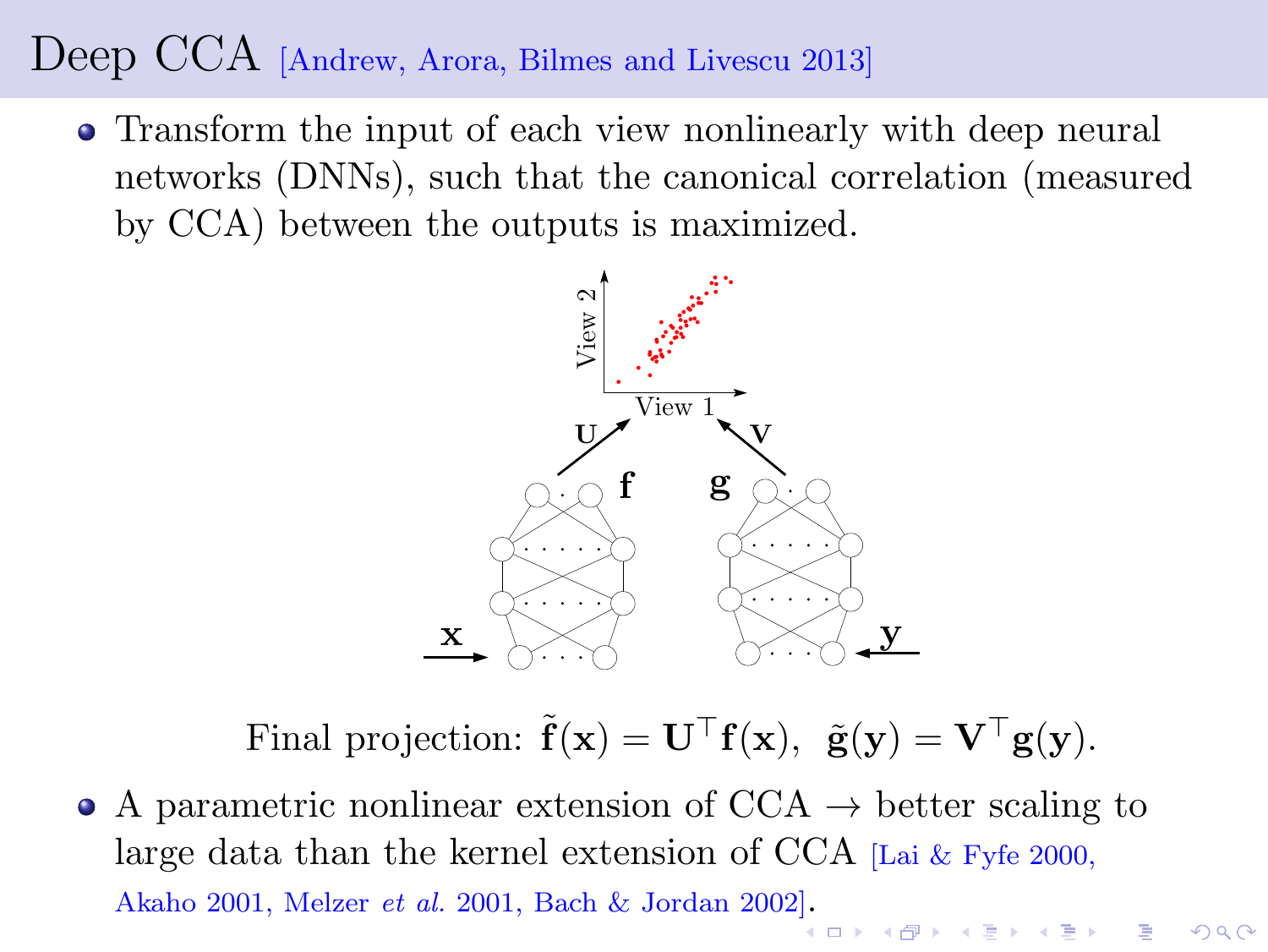#### Deep CCA [Andrew, Arora, Bilmes and Livescu 2013]

Transform the input of each view nonlinearly with deep neural networks (DNNs), such that the canonical correlation (measured by CCA) between the outputs is maximized.



Final projection:  $\tilde{\mathbf{f}}(\mathbf{x}) = \mathbf{U}^\top \mathbf{f}(\mathbf{x}), \ \tilde{\mathbf{g}}(\mathbf{y}) = \mathbf{V}^\top \mathbf{g}(\mathbf{y}).$ 

 $2990$ 

• A parametric nonlinear extension of  $CCA \rightarrow better \, scaling \, to$ large data than the kernel extension of CCA  $\text{Lai} \& \text{Fyfe } 2000$ , Akaho 2001, Melzer *et al[.](#page-5-0)* 2001, Bach & Jordan 2002].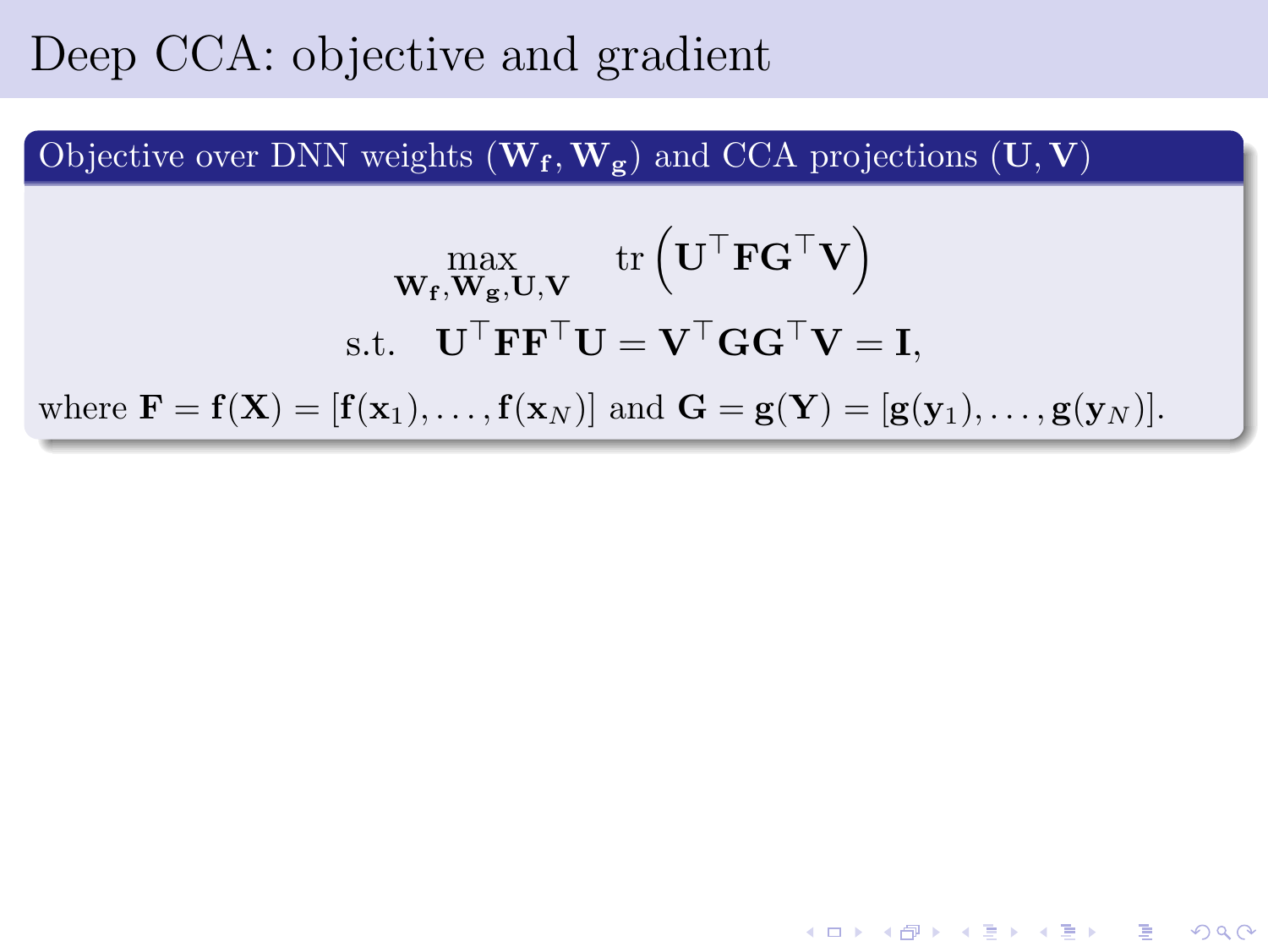#### Deep CCA: objective and gradient

Objective over DNN weights  $(\mathbf{W_f}, \mathbf{W_g})$  and CCA projections  $(\mathbf{U}, \mathbf{V})$ 

$$
\max_{\mathbf{W_f}, \mathbf{W_g}, \mathbf{U}, \mathbf{V}} \text{tr}\left(\mathbf{U}^{\top} \mathbf{F} \mathbf{G}^{\top} \mathbf{V}\right)
$$
\ns.t. 
$$
\mathbf{U}^{\top} \mathbf{F} \mathbf{F}^{\top} \mathbf{U} = \mathbf{V}^{\top} \mathbf{G} \mathbf{G}^{\top} \mathbf{V} = \mathbf{I},
$$
\nwhere  $\mathbf{F} = \mathbf{f}(\mathbf{X}) = [\mathbf{f}(\mathbf{x}_1), \dots, \mathbf{f}(\mathbf{x}_N)]$  and  $\mathbf{G} = \mathbf{g}(\mathbf{Y}) = [\mathbf{g}(\mathbf{y}_1), \dots, \mathbf{g}(\mathbf{y}_N)].$ 

K ロ ▶ K 레 ≯ K X B → K 코 ≯ L → D Q Q Q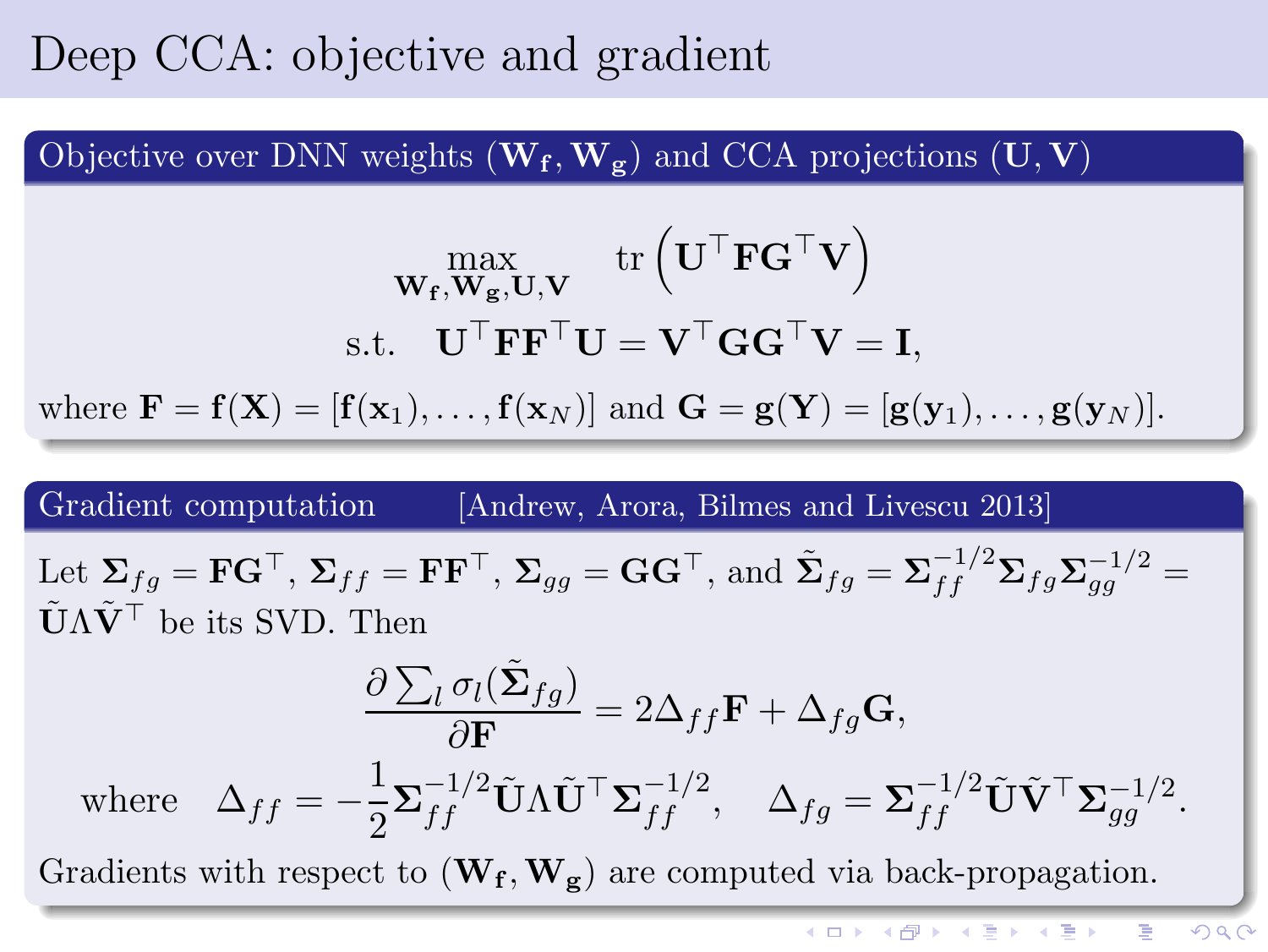#### Deep CCA: objective and gradient

Objective over DNN weights  $(\mathbf{W_f}, \mathbf{W_g})$  and CCA projections  $(\mathbf{U}, \mathbf{V})$ 

$$
\max_{\mathbf{W_f}, \mathbf{W_g}, \mathbf{U}, \mathbf{V}} \text{tr}\left(\mathbf{U}^{\top} \mathbf{F} \mathbf{G}^{\top} \mathbf{V}\right)
$$
\ns.t. 
$$
\mathbf{U}^{\top} \mathbf{F} \mathbf{F}^{\top} \mathbf{U} = \mathbf{V}^{\top} \mathbf{G} \mathbf{G}^{\top} \mathbf{V} = \mathbf{I},
$$
\nwhere  $\mathbf{F} = \mathbf{f}(\mathbf{X}) = [\mathbf{f}(\mathbf{x}_1), \dots, \mathbf{f}(\mathbf{x}_N)]$  and  $\mathbf{G} = \mathbf{g}(\mathbf{Y}) = [\mathbf{g}(\mathbf{y}_1), \dots, \mathbf{g}(\mathbf{y}_N)].$ 

Gradient computation [Andrew, Arora, Bilmes and Livescu 2013]

Let  $\Sigma_{fg} = \mathbf{F} \mathbf{G}^\top$ ,  $\Sigma_{ff} = \mathbf{F} \mathbf{F}^\top$ ,  $\Sigma_{gg} = \mathbf{G} \mathbf{G}^\top$ , and  $\tilde{\Sigma}_{fg} = \Sigma_{ff}^{-1/2} \Sigma_{fg} \Sigma_{gg}^{-1/2} =$  $\tilde{\mathbf{U}} \Lambda \tilde{\mathbf{V}}^{\top}$  be its SVD. Then

$$
\frac{\partial \sum_{l} \sigma_{l}(\tilde{\mathbf{\Sigma}}_{fg})}{\partial \mathbf{F}} = 2\Delta_{ff} \mathbf{F} + \Delta_{fg} \mathbf{G},
$$
  
where  $\Delta_{ff} = -\frac{1}{2} \mathbf{\Sigma}_{ff}^{-1/2} \tilde{\mathbf{U}} \Lambda \tilde{\mathbf{U}}^{\top} \mathbf{\Sigma}_{ff}^{-1/2}, \quad \Delta_{fg} = \mathbf{\Sigma}_{ff}^{-1/2} \tilde{\mathbf{U}} \tilde{\mathbf{V}}^{\top} \mathbf{\Sigma}_{gg}^{-1/2}.$ 

Gradients with respect to  $(\mathbf{W_f}, \mathbf{W_g})$  are computed via back-propagation.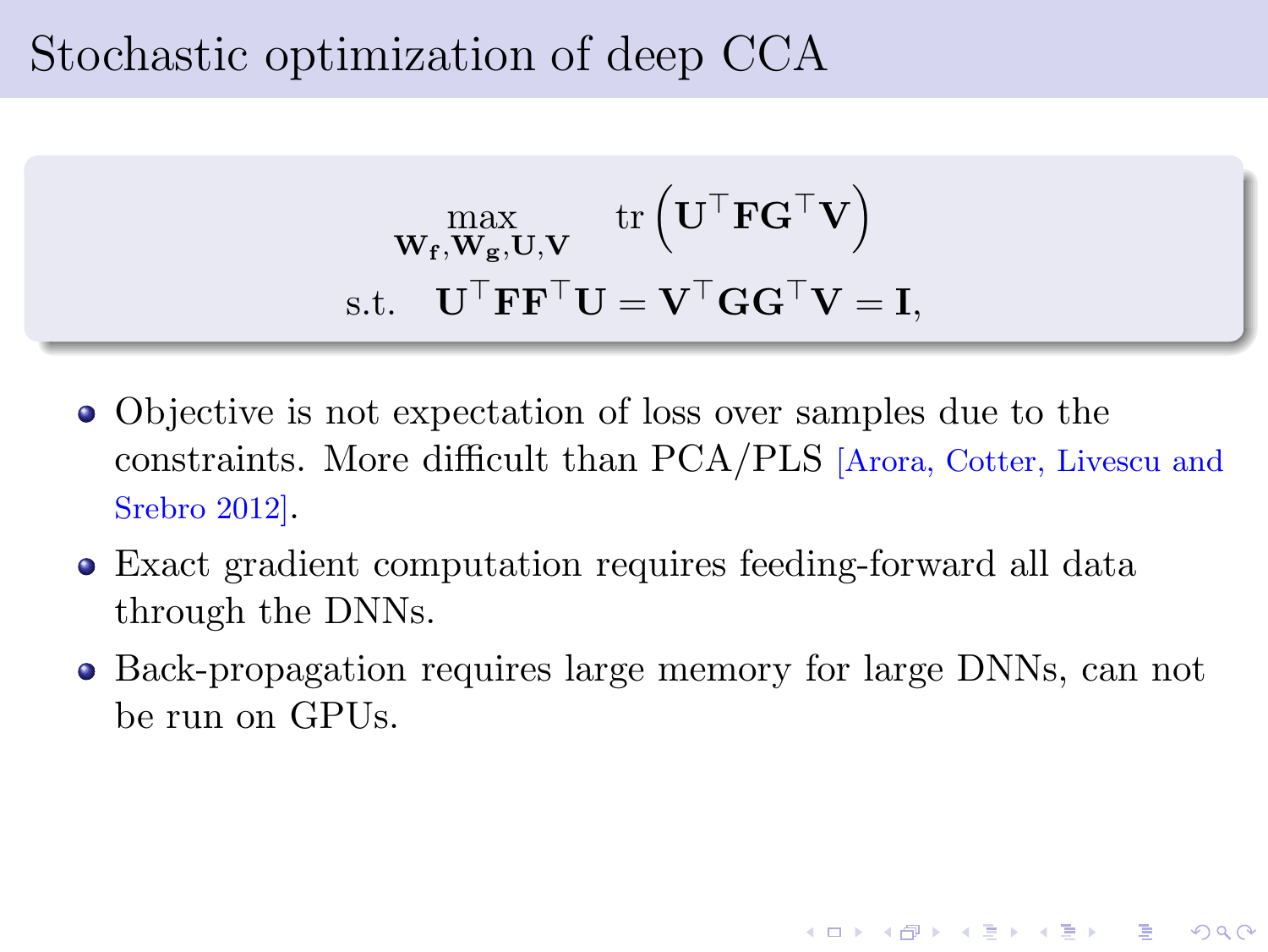#### Stochastic optimization of deep CCA

$$
\begin{array}{c} \displaystyle \max_{\mathbf{W_{f}}, \mathbf{W_{g}}, \mathbf{U}, \mathbf{V}} \ \text{tr}\left(\mathbf{U}^{\top} \mathbf{F} \mathbf{G}^{\top} \mathbf{V}\right) \\ \text{s.t.} \quad \mathbf{U}^{\top} \mathbf{F} \mathbf{F}^{\top} \mathbf{U} = \mathbf{V}^{\top} \mathbf{G} \mathbf{G}^{\top} \mathbf{V} = \mathbf{I}, \end{array}
$$

- Objective is not expectation of loss over samples due to the constraints. More difficult than PCA/PLS [Arora, Cotter, Livescu and Srebro 2012].
- Exact gradient computation requires feeding-forward all data through the DNNs.
- Back-propagation requires large memory for large DNNs, can not be run on GPUs.

 $QQ$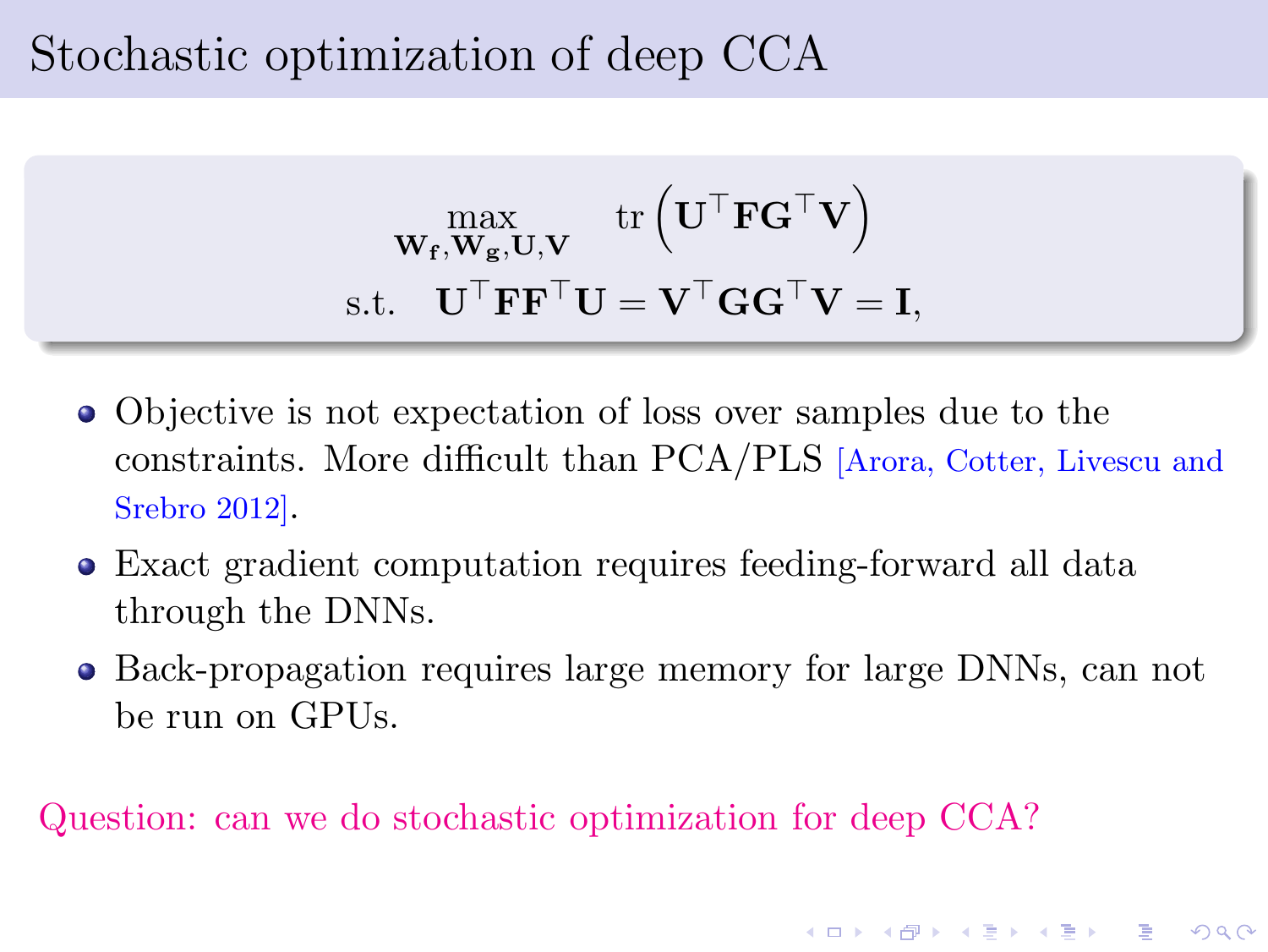#### Stochastic optimization of deep CCA

$$
\begin{array}{c} \displaystyle \max_{\mathbf{W_{f}}, \mathbf{W_{g}}, \mathbf{U}, \mathbf{V}} \ \text{tr}\left(\mathbf{U}^{\top} \mathbf{F} \mathbf{G}^{\top} \mathbf{V}\right) \\ \text{s.t.} \quad \mathbf{U}^{\top} \mathbf{F} \mathbf{F}^{\top} \mathbf{U} = \mathbf{V}^{\top} \mathbf{G} \mathbf{G}^{\top} \mathbf{V} = \mathbf{I}, \end{array}
$$

- Objective is not expectation of loss over samples due to the constraints. More difficult than PCA/PLS [Arora, Cotter, Livescu and Srebro 2012].
- Exact gradient computation requires feeding-forward all data through the DNNs.
- Back-propagation requires large memory for large DNNs, can not be run on GPUs.

 $2990$ 

Question: can we do stochastic optimization for deep CCA?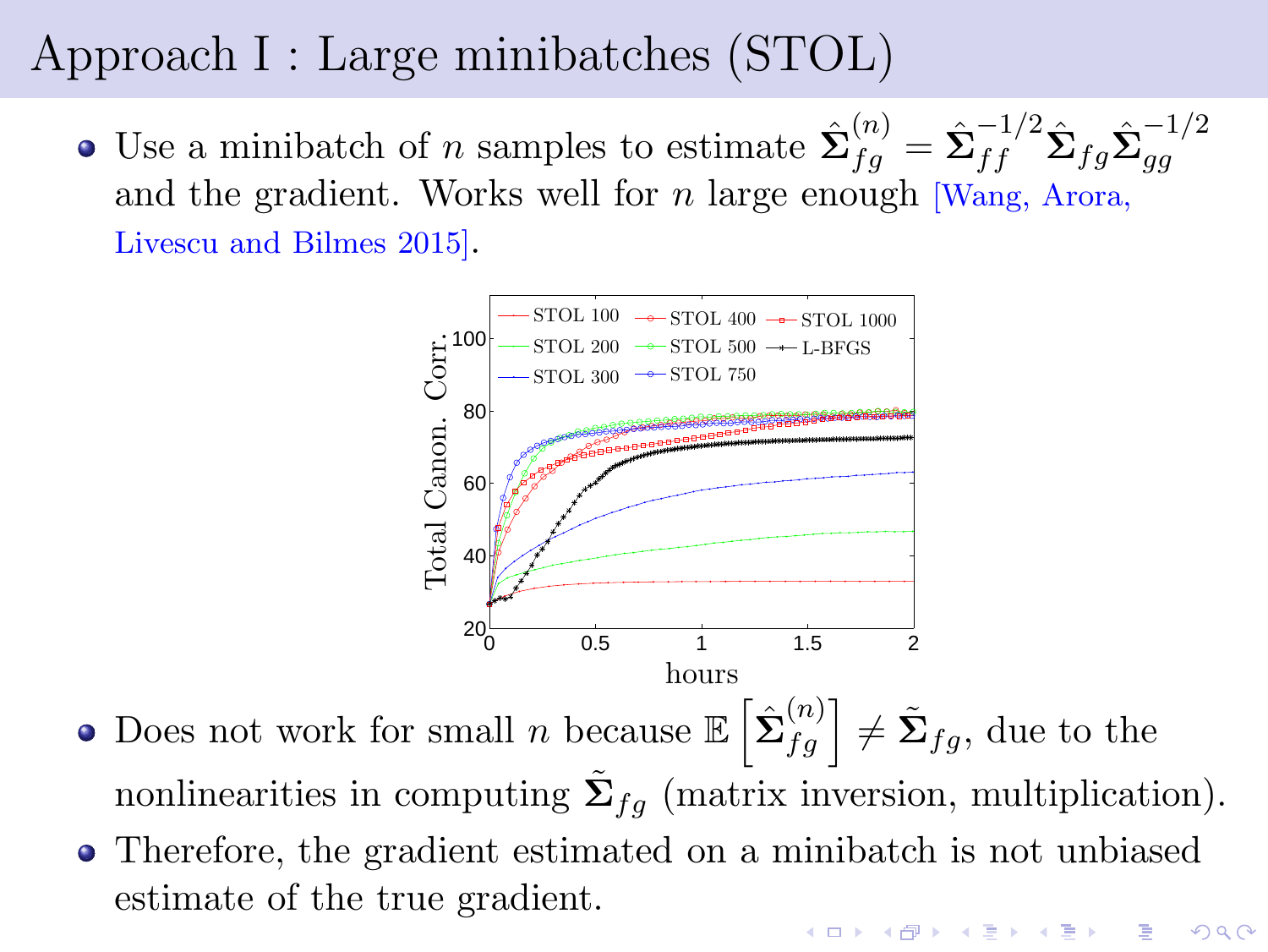# Approach I : Large minibatches (STOL)

Use a minibatch of *n* samples to estimate  $\hat{\Sigma}_{fg}^{(n)} = \hat{\Sigma}_{ff}^{-1/2} \hat{\Sigma}_{fg} \hat{\Sigma}_{gg}^{-1/2}$ gg and the gradient. Works well for  $n$  large enough [Wang, Arora, Livescu and Bilmes 2015].



- Does not work for small *n* because  $\mathbb{E}\left[\hat{\Sigma}_{fg}^{(n)}\right] \neq \tilde{\Sigma}_{fg}$ , due to the nonlinearities in computing  $\tilde{\Sigma}_{fg}$  (matrix inversion, multiplication).
- Therefore, the gradient estimated on a minibatch is not unbiased estimate of the true gradient.**A DIA K DIA K DIA K DIA K DIA K DIA K**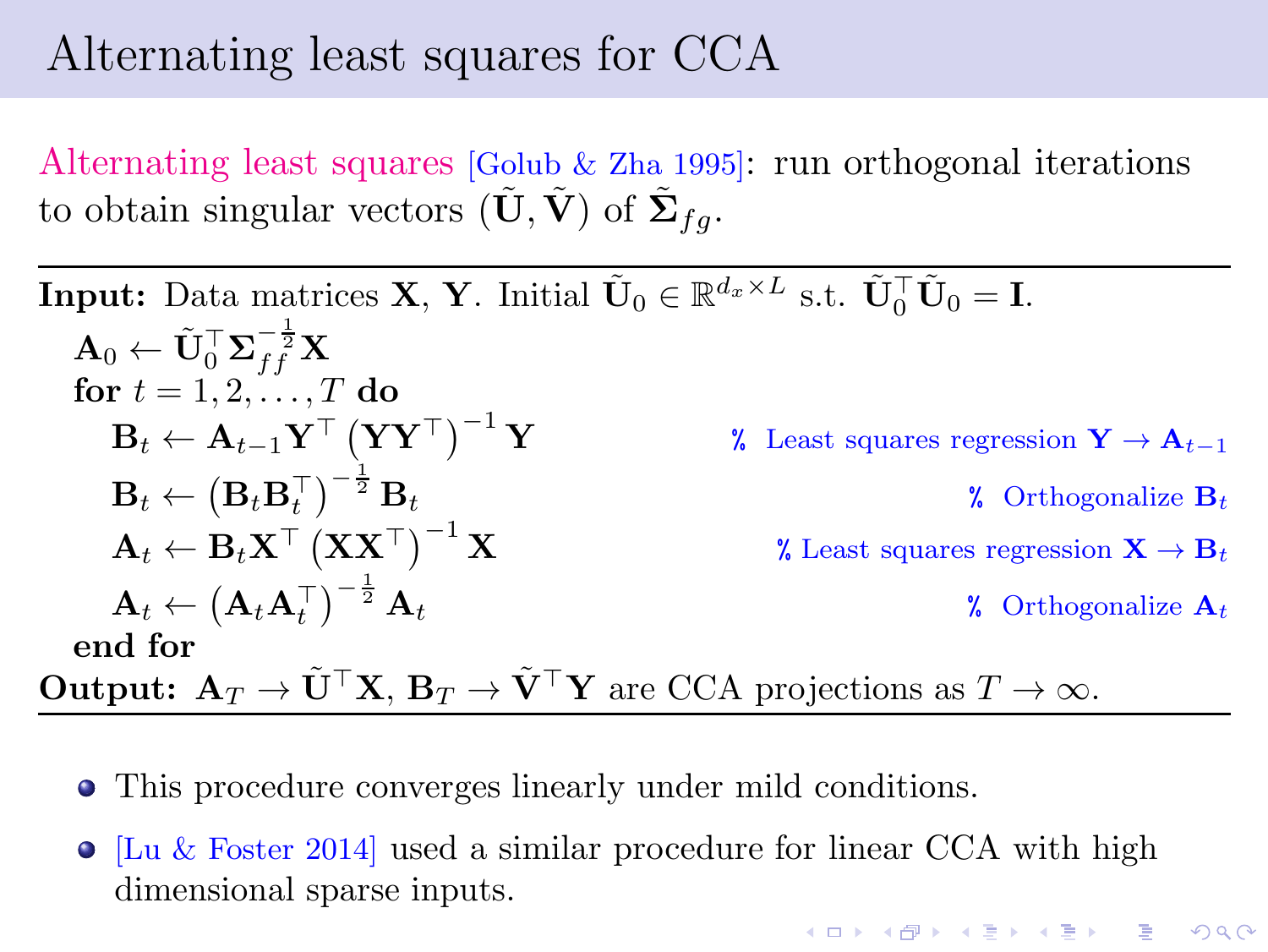#### Alternating least squares for CCA

Alternating least squares [Golub & Zha 1995]: run orthogonal iterations to obtain singular vectors  $(\tilde{\mathbf{U}}, \tilde{\mathbf{V}})$  of  $\tilde{\mathbf{\Sigma}}_{fg}$ .

**Input:** Data matrices **X**, **Y**. Initial  $\tilde{\mathbf{U}}_0 \in \mathbb{R}^{d_x \times L}$  s.t.  $\tilde{\mathbf{U}}_0^\top \tilde{\mathbf{U}}_0 = \mathbf{I}$ .  $\mathbf{A}_0 \leftarrow \tilde{\mathbf{U}}_0^\top \mathbf{\Sigma}_{ff}^{-\frac{1}{2}} \mathbf{X}$ for  $t = 1, 2, \ldots, T$  do  $\mathbf{B}_t \leftarrow \mathbf{A}_{t-1} \mathbf{Y}^\top \left( \mathbf{Y} \mathbf{Y}^\top \right)$ % Least squares regression  $\mathbf{Y} \to \mathbf{A}_{t-1}$  $\mathbf{B}_t \leftarrow \left( \mathbf{B}_t \mathbf{B}_t^\top \right)^{-\frac{1}{2}}$  $\lambda$  Orthogonalize  $\mathbf{B}_t$  $\mathbf{A}_t \leftarrow \mathbf{B}_t \mathbf{X}^\top \left( \mathbf{X} \mathbf{X}^\top \right)$ % Least squares regression  $\mathbf{X} \to \mathbf{B}_t$  $\mathbf{A}_t \leftarrow \left(\mathbf{A}_t \mathbf{A}_t^\top\right)^{-\frac{1}{2}}$ **2.** Orthogonalize  $A_t$ end for **Output:**  $A_T \to \tilde{U}^\top X$ ,  $B_T \to \tilde{V}^\top Y$  are CCA projections as  $T \to \infty$ .

- This procedure converges linearly under mild conditions.
- $\bullet$  [Lu & Foster 2014] used a similar procedure for linear CCA with high dimensional sparse inputs.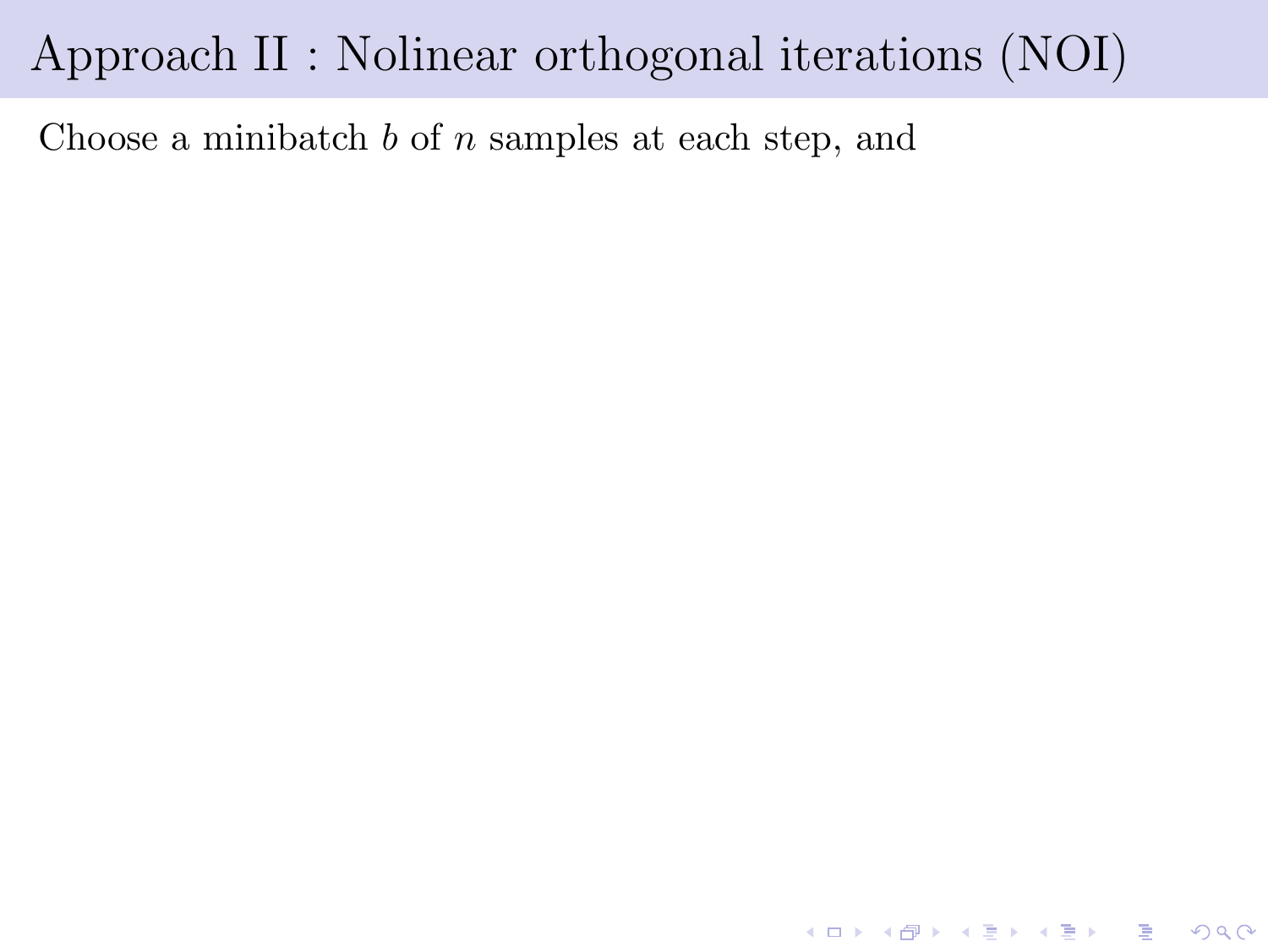Choose a minibatch  $b$  of  $n$  samples at each step, and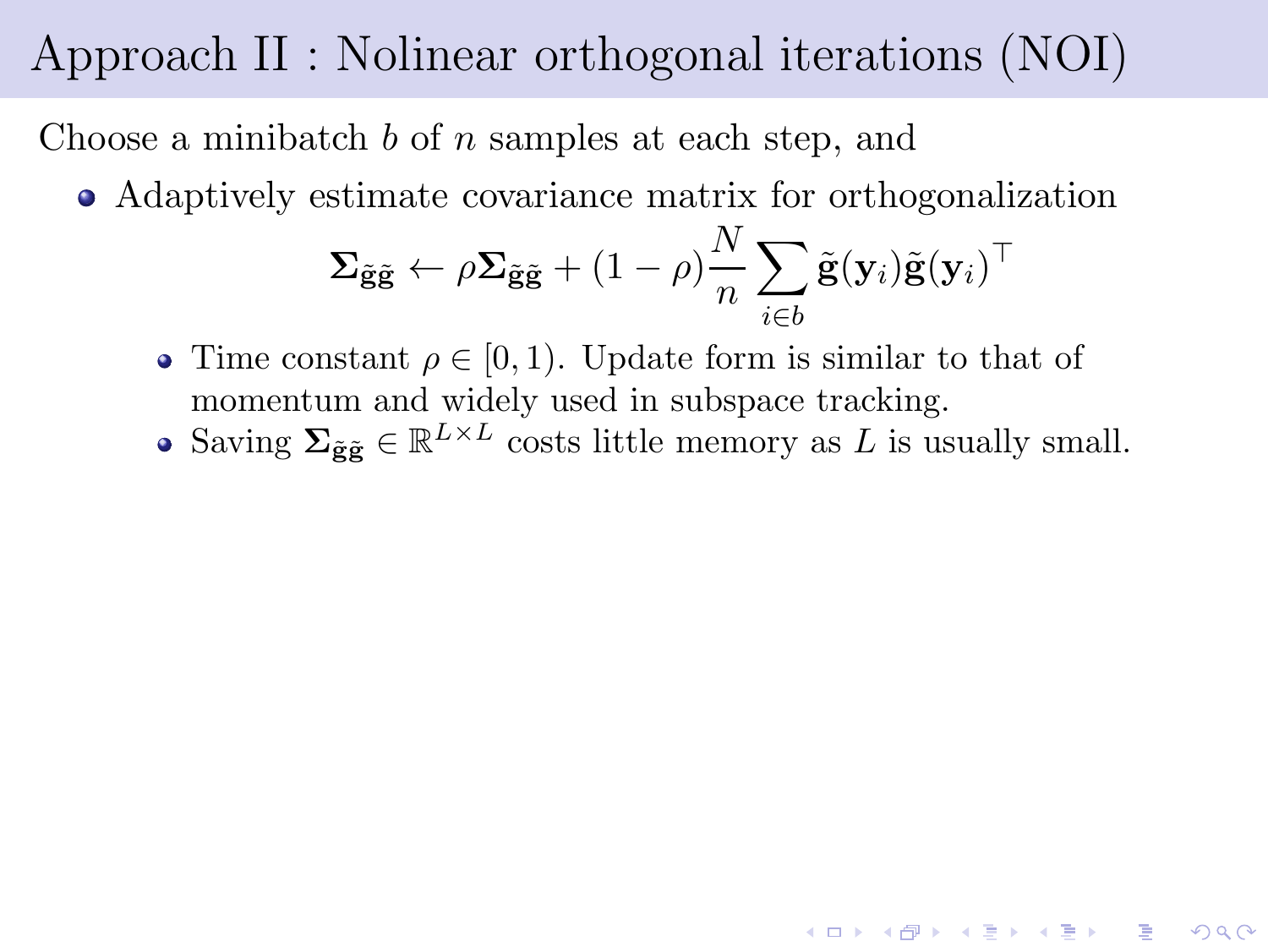Choose a minibatch  $b$  of  $n$  samples at each step, and

Adaptively estimate covariance matrix for orthogonalization

$$
\Sigma_{\tilde{\mathbf{g}}\tilde{\mathbf{g}}} \leftarrow \rho \Sigma_{\tilde{\mathbf{g}}\tilde{\mathbf{g}}} + (1 - \rho) \frac{N}{n} \sum_{i \in b} \tilde{\mathbf{g}}(\mathbf{y}_i) \tilde{\mathbf{g}}(\mathbf{y}_i)^\top
$$

- Time constant  $\rho \in [0, 1)$ . Update form is similar to that of momentum and widely used in subspace tracking.
- Saving  $\Sigma_{\tilde{\mathbf{g}}\tilde{\mathbf{g}}} \in \mathbb{R}^{L \times L}$  costs little memory as L is usually small.

**A DIA K B A B A B A B A A DIA K B A A Q A**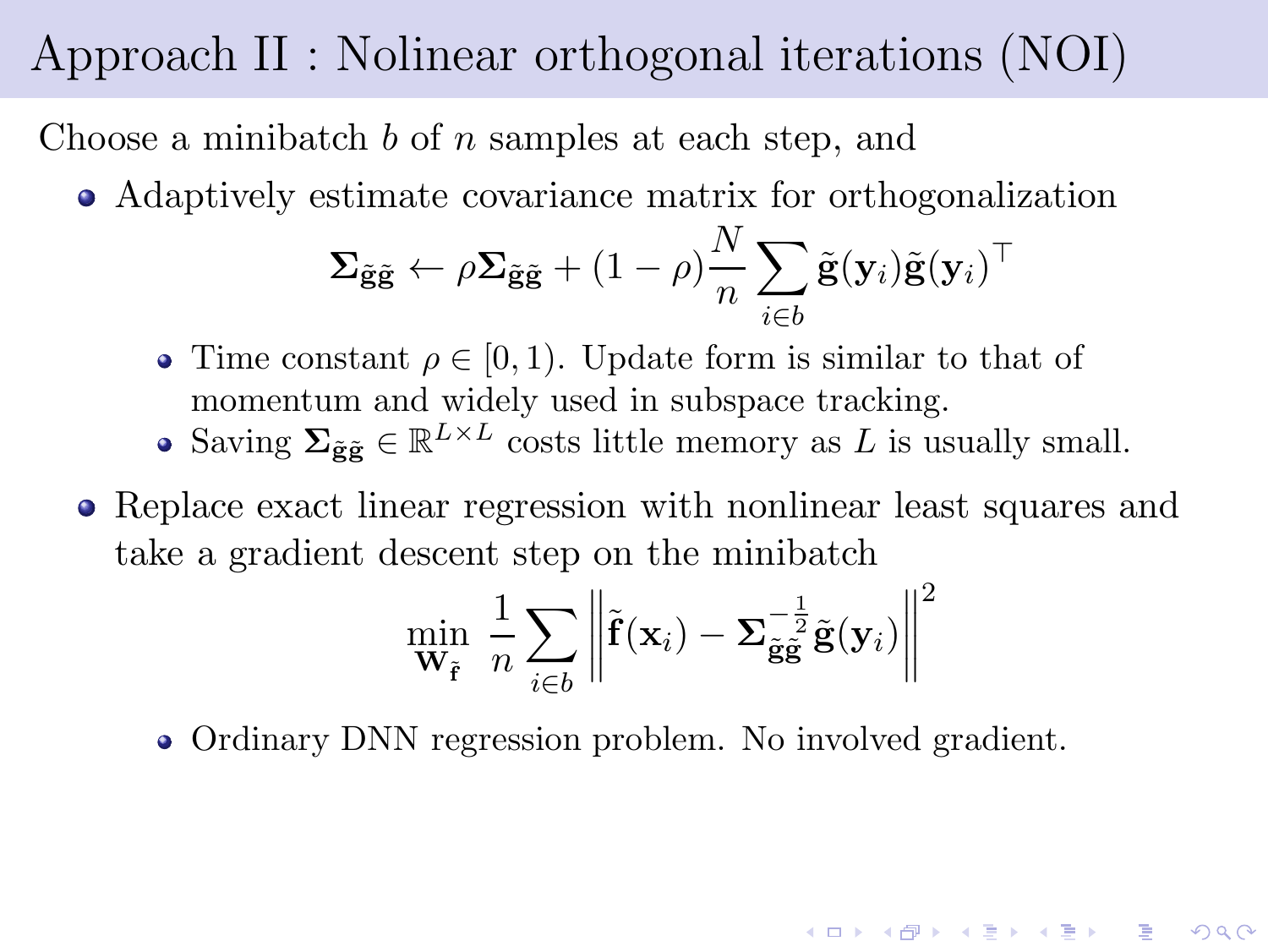Choose a minibatch  $b$  of  $n$  samples at each step, and

Adaptively estimate covariance matrix for orthogonalization

$$
\Sigma_{\tilde{\mathbf{g}}\tilde{\mathbf{g}}} \leftarrow \rho \Sigma_{\tilde{\mathbf{g}}\tilde{\mathbf{g}}} + (1 - \rho) \frac{N}{n} \sum_{i \in b} \tilde{\mathbf{g}}(\mathbf{y}_i) \tilde{\mathbf{g}}(\mathbf{y}_i)^\top
$$

- Time constant  $\rho \in [0, 1)$ . Update form is similar to that of momentum and widely used in subspace tracking.
- Saving  $\Sigma_{\tilde{\mathbf{g}}\tilde{\mathbf{g}}} \in \mathbb{R}^{L \times L}$  costs little memory as L is usually small.
- Replace exact linear regression with nonlinear least squares and take a gradient descent step on the minibatch

$$
\min_{\mathbf{W}_{\tilde{\mathbf{f}}}} \frac{1}{n} \sum_{i \in b} \left\| \tilde{\mathbf{f}}(\mathbf{x}_i) - \mathbf{\Sigma}_{\tilde{\mathbf{g}}\tilde{\mathbf{g}}}^{-\frac{1}{2}} \tilde{\mathbf{g}}(\mathbf{y}_i) \right\|^2
$$

• Ordinary DNN regression problem. No involved gradient.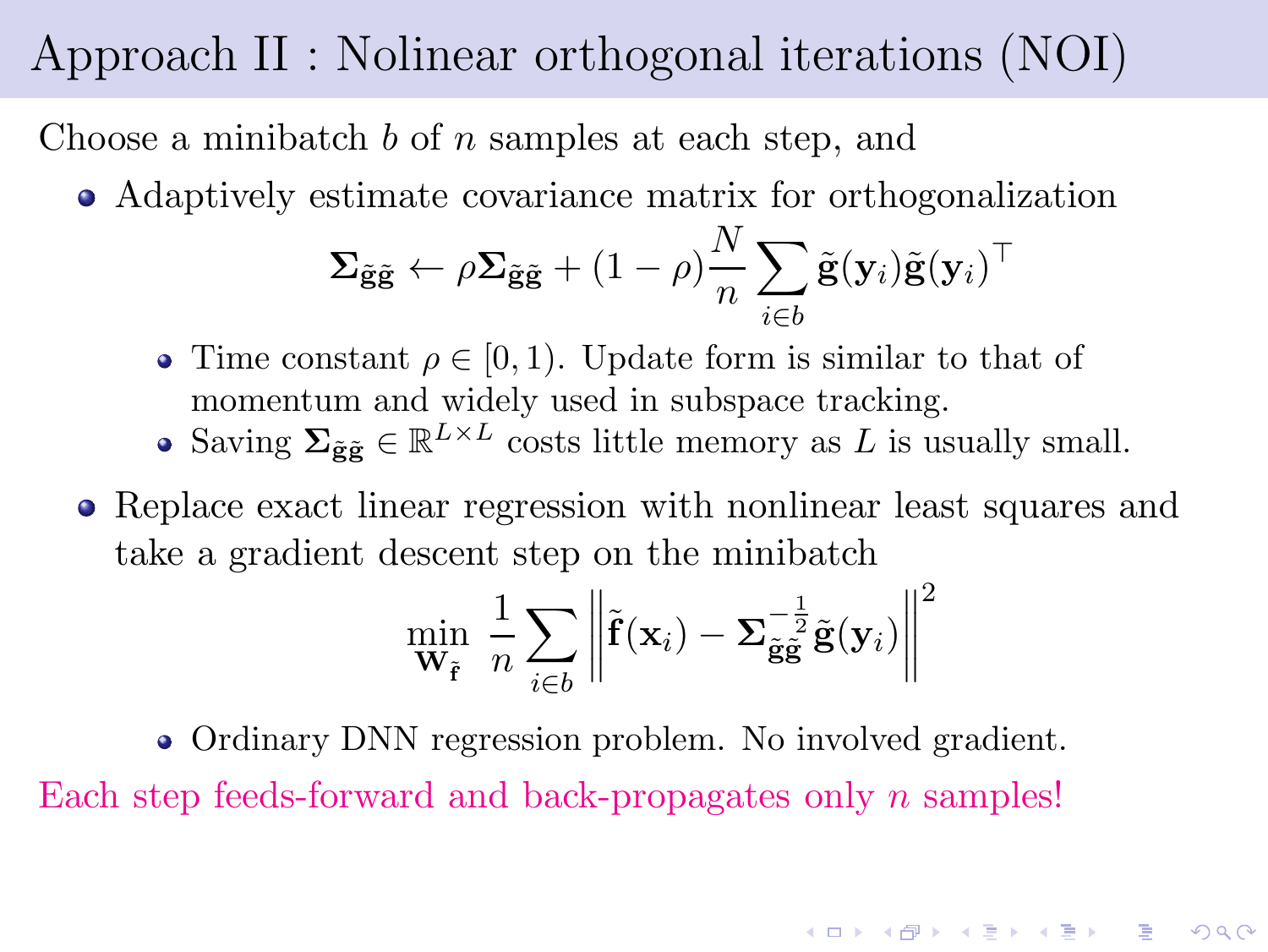Choose a minibatch  $b$  of  $n$  samples at each step, and

Adaptively estimate covariance matrix for orthogonalization

$$
\Sigma_{\tilde{\mathbf{g}}\tilde{\mathbf{g}}} \leftarrow \rho \Sigma_{\tilde{\mathbf{g}}\tilde{\mathbf{g}}} + (1 - \rho) \frac{N}{n} \sum_{i \in b} \tilde{\mathbf{g}}(\mathbf{y}_i) \tilde{\mathbf{g}}(\mathbf{y}_i)^\top
$$

- Time constant  $\rho \in [0, 1)$ . Update form is similar to that of momentum and widely used in subspace tracking.
- Saving  $\Sigma_{\tilde{\mathbf{g}}\tilde{\mathbf{g}}} \in \mathbb{R}^{L \times L}$  costs little memory as L is usually small.
- Replace exact linear regression with nonlinear least squares and take a gradient descent step on the minibatch

$$
\min_{\mathbf{W}_{\tilde{\mathbf{f}}}} \frac{1}{n} \sum_{i \in b} \left\| \tilde{\mathbf{f}}(\mathbf{x}_i) - \mathbf{\Sigma}_{\tilde{\mathbf{g}}\tilde{\mathbf{g}}}^{-\frac{1}{2}} \tilde{\mathbf{g}}(\mathbf{y}_i) \right\|^2
$$

**A DIA K DIA K DIA K DIA K DIA K DIA K** 

• Ordinary DNN regression problem. No involved gradient. Each step feeds-forward and back-propagates only n samples!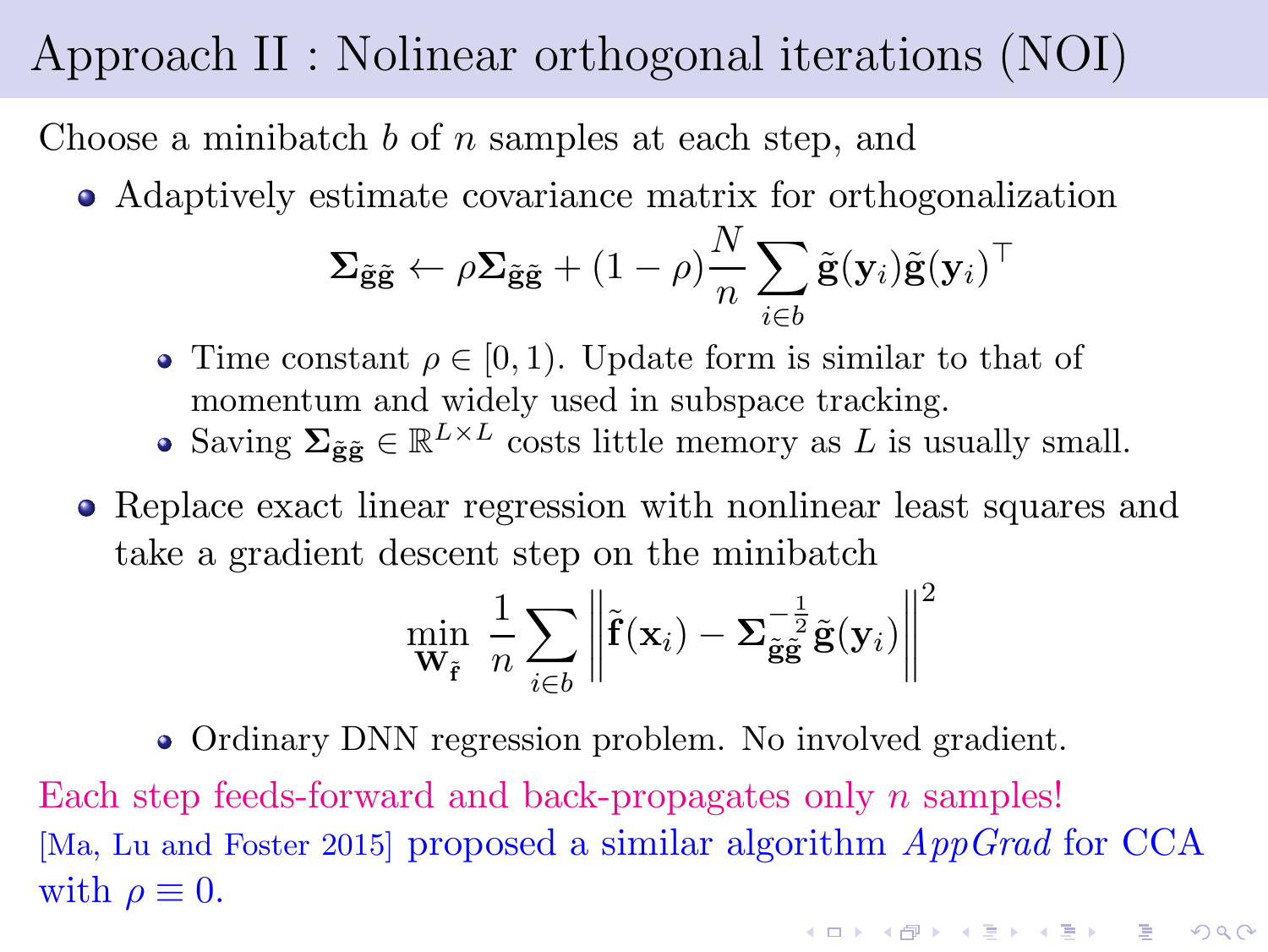Choose a minibatch  $b$  of  $n$  samples at each step, and

Adaptively estimate covariance matrix for orthogonalization

$$
\Sigma_{\tilde{\mathbf{g}}\tilde{\mathbf{g}}} \leftarrow \rho \Sigma_{\tilde{\mathbf{g}}\tilde{\mathbf{g}}} + (1 - \rho) \frac{N}{n} \sum_{i \in b} \tilde{\mathbf{g}}(\mathbf{y}_i) \tilde{\mathbf{g}}(\mathbf{y}_i)^\top
$$

- Time constant  $\rho \in [0, 1)$ . Update form is similar to that of momentum and widely used in subspace tracking.
- Saving  $\Sigma_{\tilde{\mathbf{g}}\tilde{\mathbf{g}}} \in \mathbb{R}^{L \times L}$  costs little memory as L is usually small.
- Replace exact linear regression with nonlinear least squares and take a gradient descent step on the minibatch

$$
\min_{\mathbf{W}_{\tilde{\mathbf{f}}}} \frac{1}{n} \sum_{i \in b} \left\| \tilde{\mathbf{f}}(\mathbf{x}_i) - \mathbf{\Sigma}_{\tilde{\mathbf{g}}\tilde{\mathbf{g}}}^{-\frac{1}{2}} \tilde{\mathbf{g}}(\mathbf{y}_i) \right\|^2
$$

• Ordinary DNN regression problem. No involved gradient. Each step feeds-forward and back-propagates only n samples! [Ma, Lu and Foster 2015] proposed a similar algorithm AppGrad for CCA with  $\rho \equiv 0$ .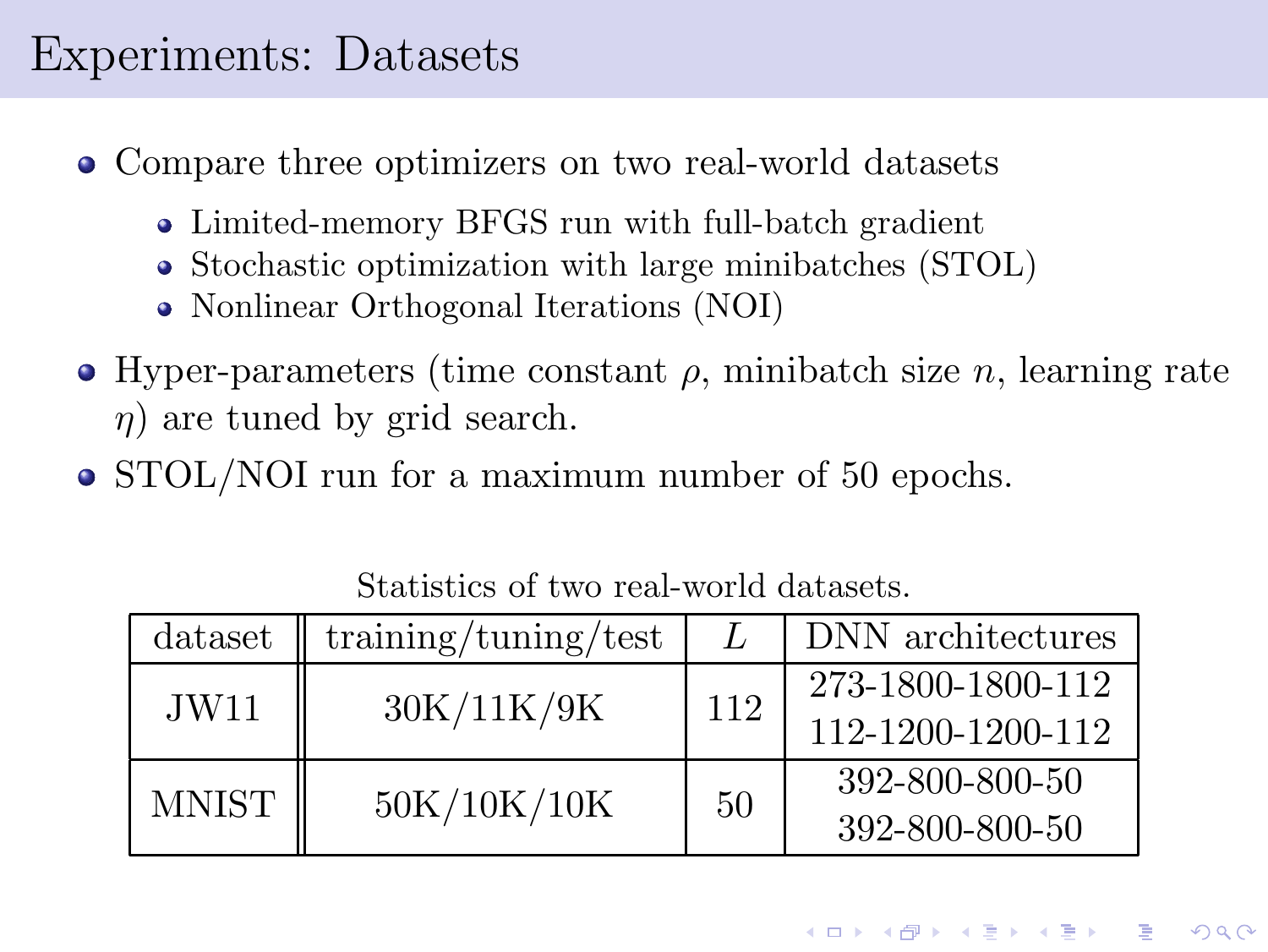#### Experiments: Datasets

- Compare three optimizers on two real-world datasets
	- Limited-memory BFGS run with full-batch gradient
	- Stochastic optimization with large minibatches (STOL)
	- Nonlinear Orthogonal Iterations (NOI)
- Hyper-parameters (time constant  $\rho$ , minibatch size n, learning rate  $\eta$ ) are tuned by grid search.
- STOL/NOI run for a maximum number of 50 epochs.

| dataset      | training/tuning/test |     | DNN architectures |
|--------------|----------------------|-----|-------------------|
| JW11         | 30K/11K/9K           | 112 | 273-1800-1800-112 |
|              |                      |     | 112-1200-1200-112 |
| <b>MNIST</b> | 50K/10K/10K          | 50  | 392-800-800-50    |
|              |                      |     | 392-800-800-50    |

Statistics of two real-world datasets.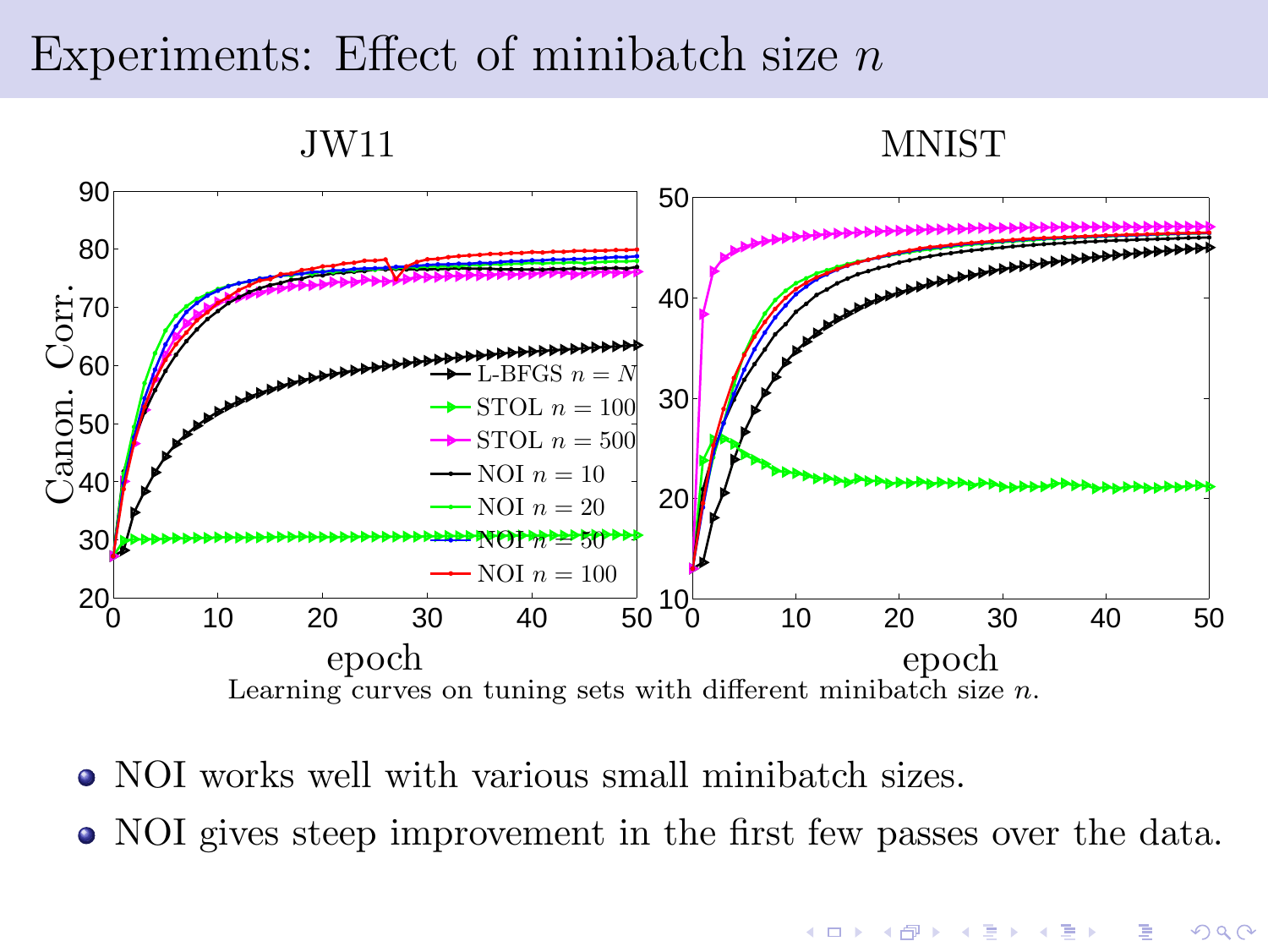#### Experiments: Effect of minibatch size  $n$



- NOI works well with various small minibatch sizes.
- NOI gives steep improvement in the first few passes over the data.

**KORK EX KEY KEY YOUR**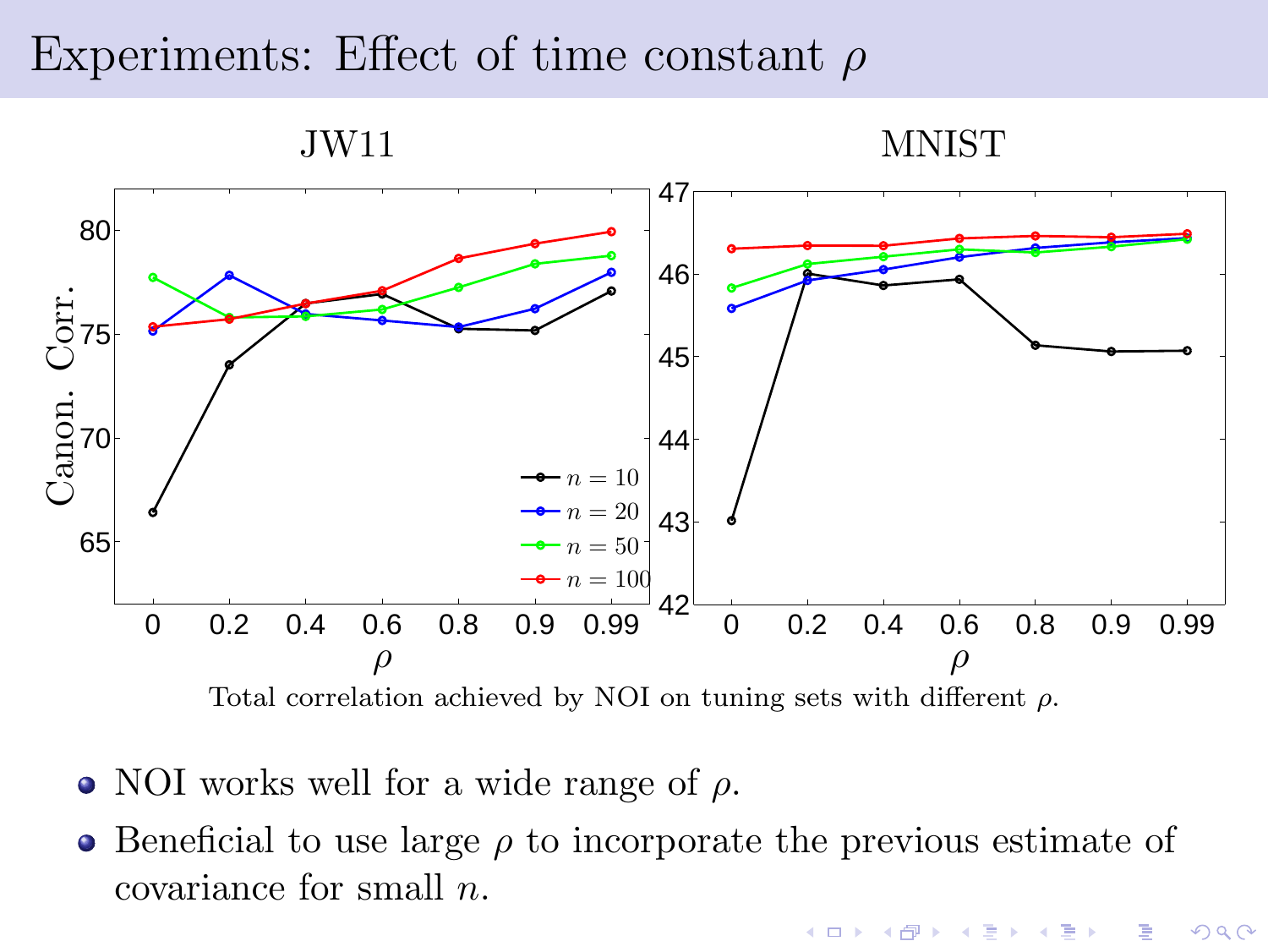#### Experiments: Effect of time constant  $\rho$



- NOI works well for a wide range of  $\rho$ .
- $\bullet$  Beneficial to use large  $\rho$  to incorporate the previous estimate of covariance for small n.

 $4$  ロ )  $4$   $\overline{7}$  )  $4$   $\overline{2}$  )  $4$   $\overline{2}$  )

Þ

 $QQ$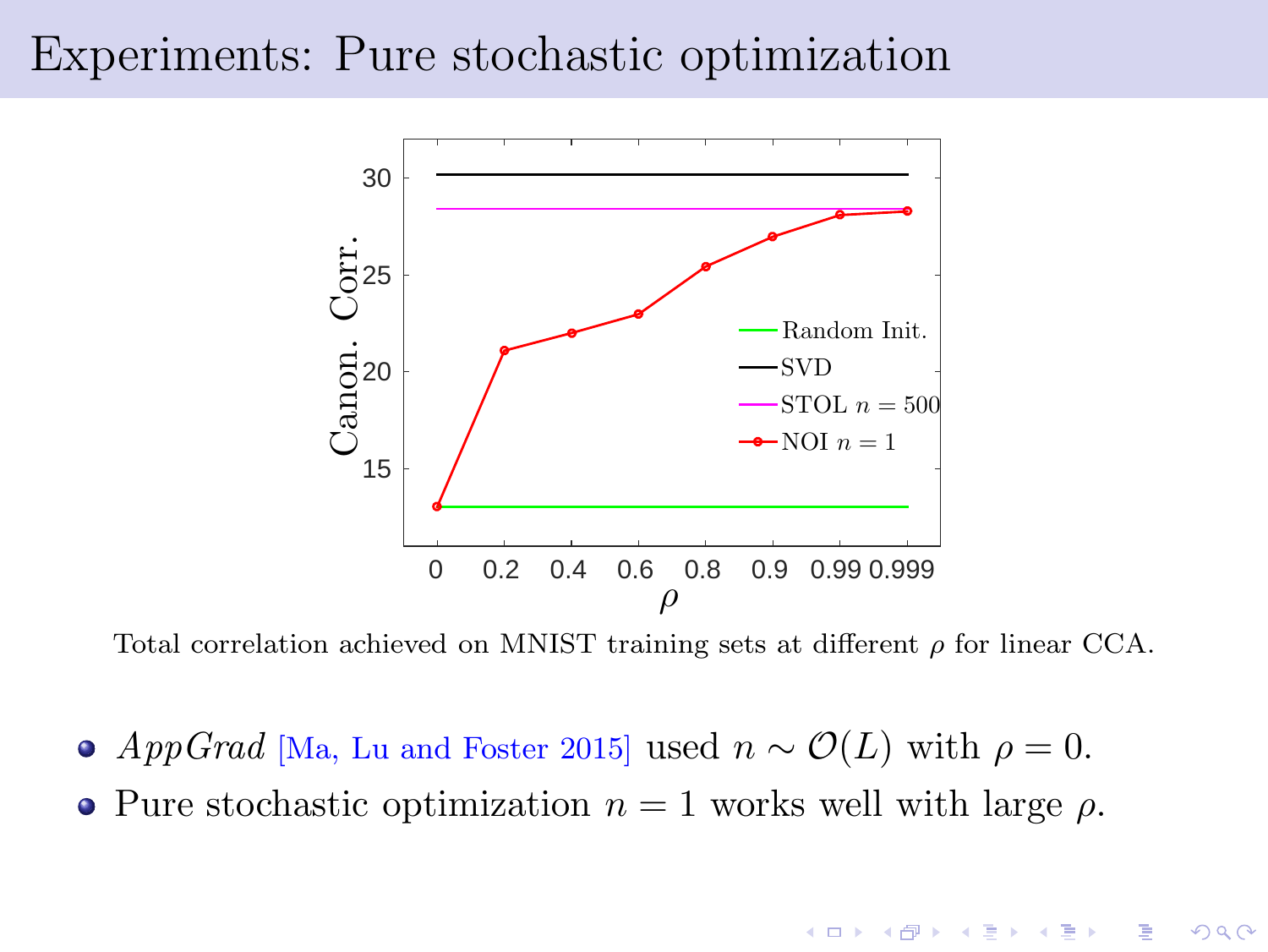#### Experiments: Pure stochastic optimization



Total correlation achieved on MNIST training sets at different  $\rho$  for linear CCA.

- AppGrad [Ma, Lu and Foster 2015] used  $n \sim \mathcal{O}(L)$  with  $\rho = 0$ .
- Pure stochastic optimization  $n = 1$  works well with large  $\rho$ .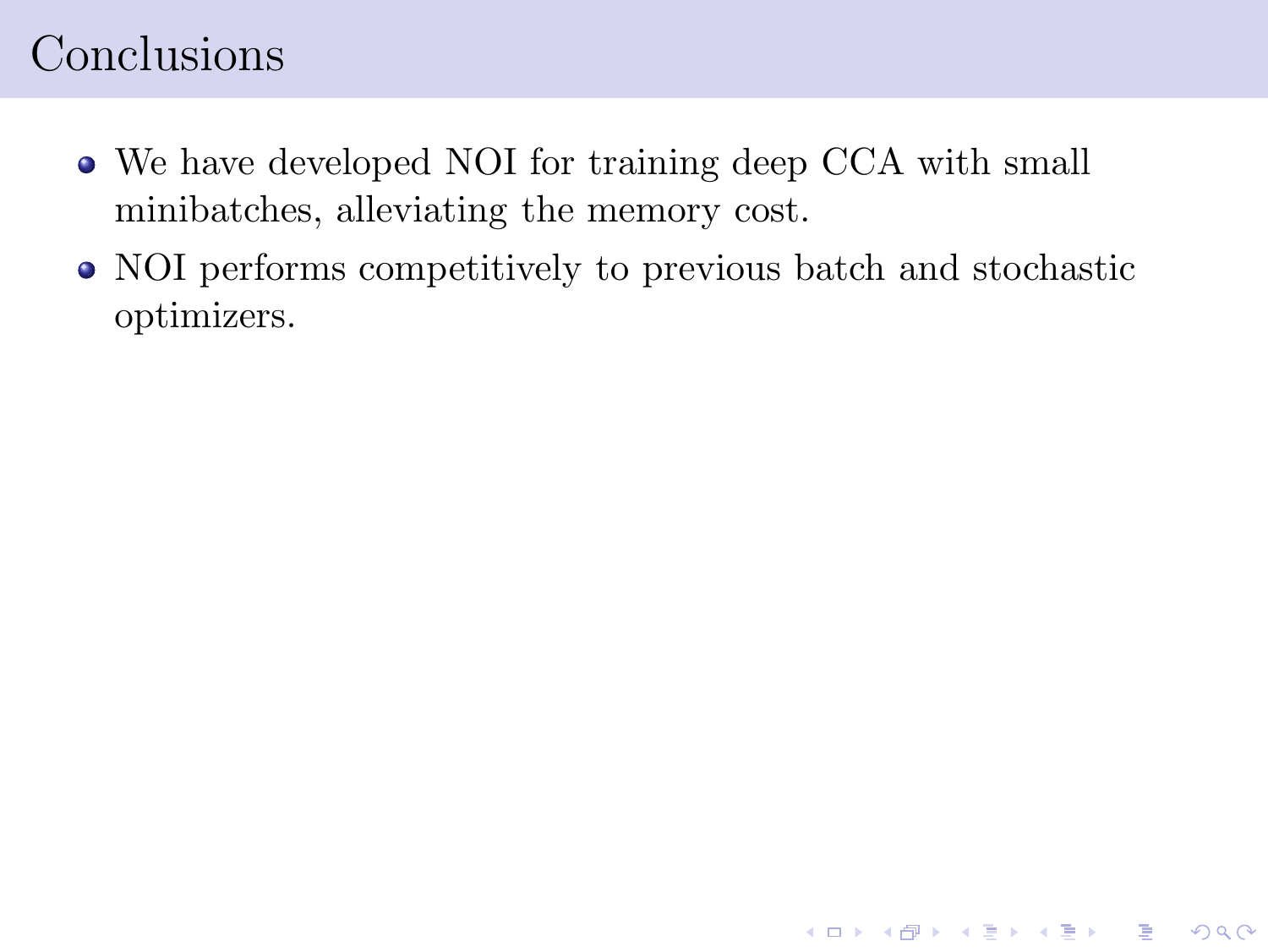## Conclusions

- We have developed NOI for training deep CCA with small minibatches, alleviating the memory cost.
- NOI performs competitively to previous batch and stochastic optimizers.

K ロ ▶ K 레 ≯ K X B → K 코 ≯ L → D Q Q Q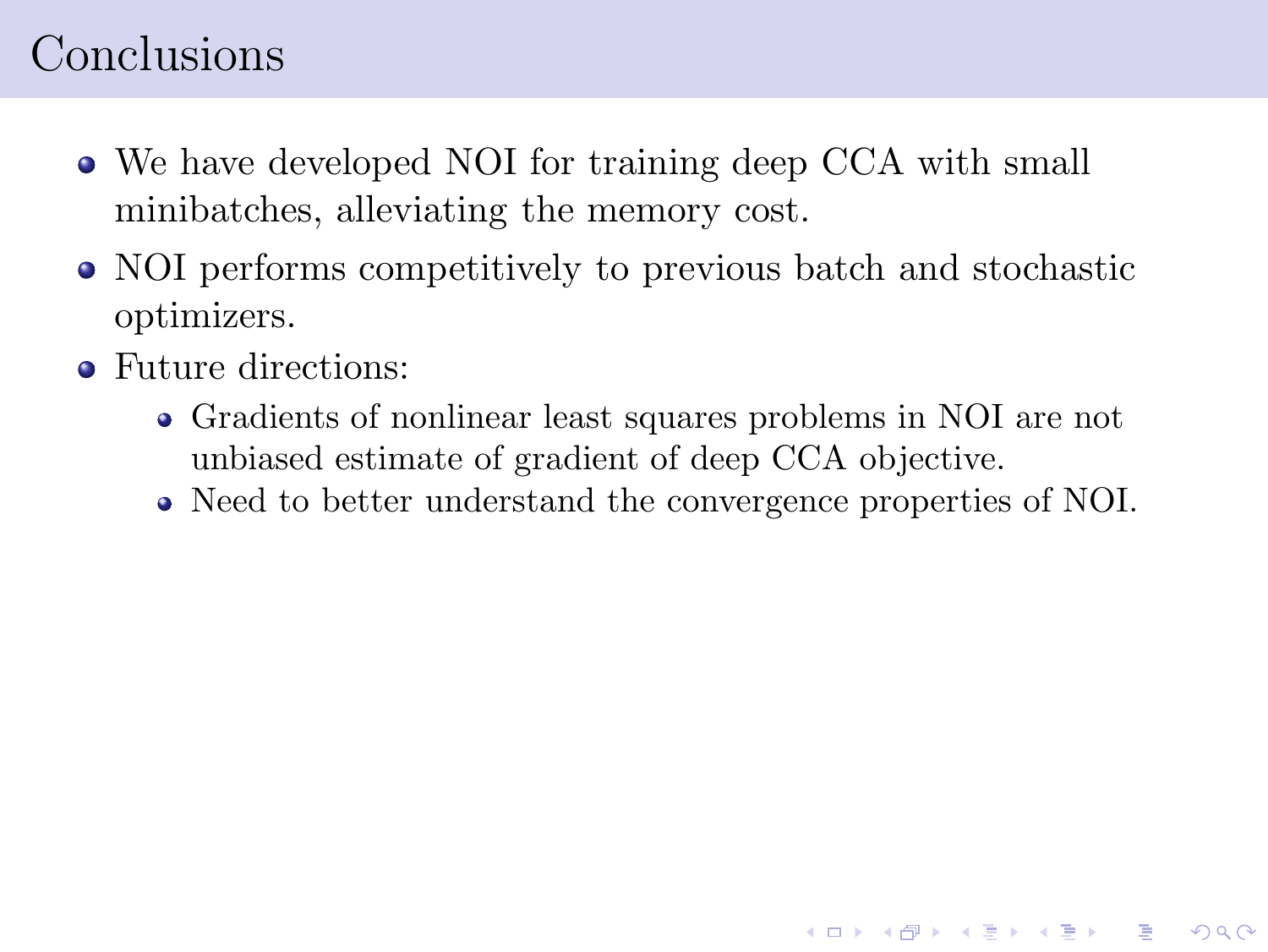## Conclusions

- We have developed NOI for training deep CCA with small minibatches, alleviating the memory cost.
- NOI performs competitively to previous batch and stochastic optimizers.
- Future directions:
	- Gradients of nonlinear least squares problems in NOI are not unbiased estimate of gradient of deep CCA objective.
	- Need to better understand the convergence properties of NOI.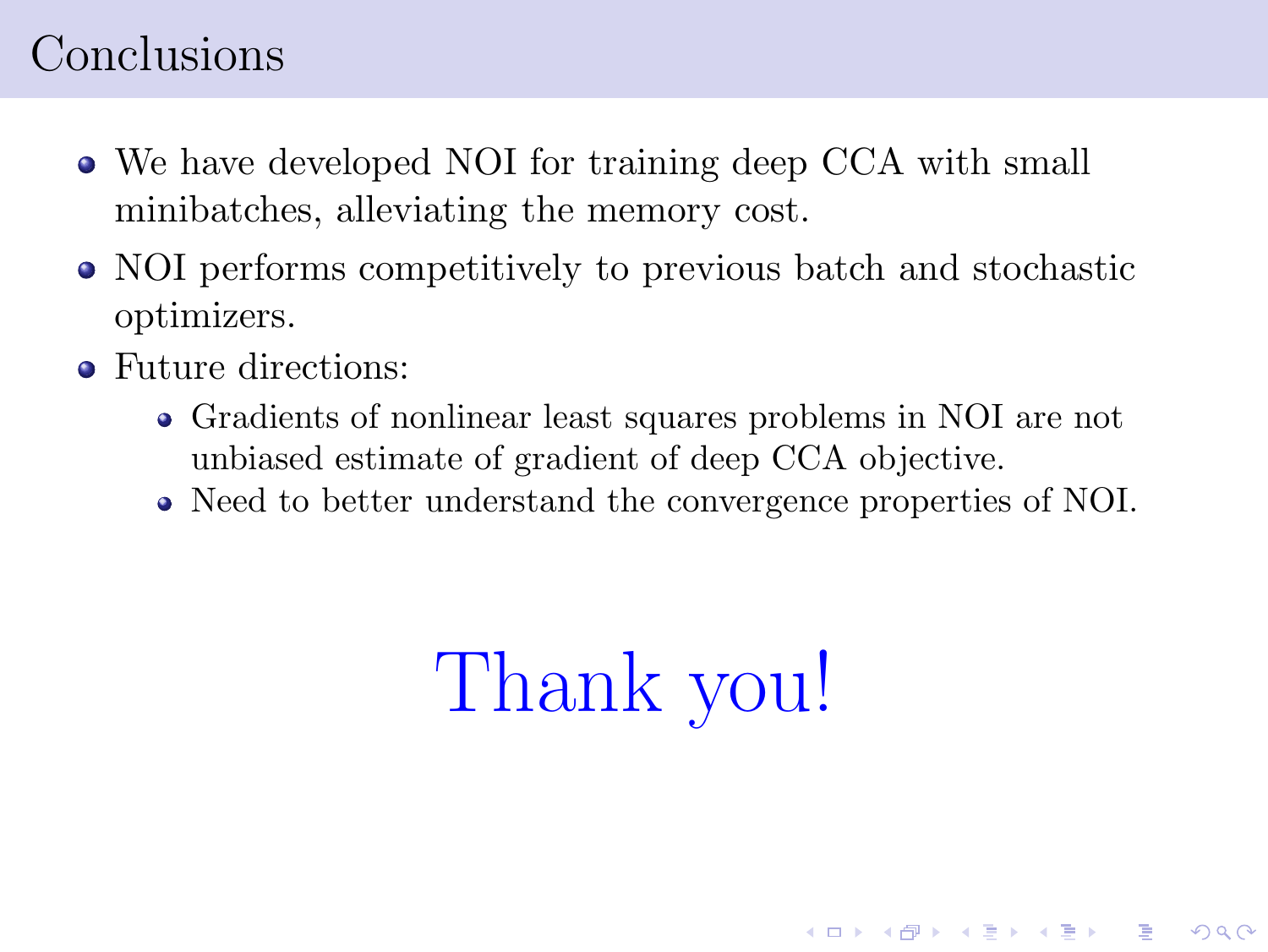#### Conclusions

- We have developed NOI for training deep CCA with small minibatches, alleviating the memory cost.
- NOI performs competitively to previous batch and stochastic optimizers.
- Future directions:
	- Gradients of nonlinear least squares problems in NOI are not unbiased estimate of gradient of deep CCA objective.
	- Need to better understand the convergence properties of NOI.

# Thank you!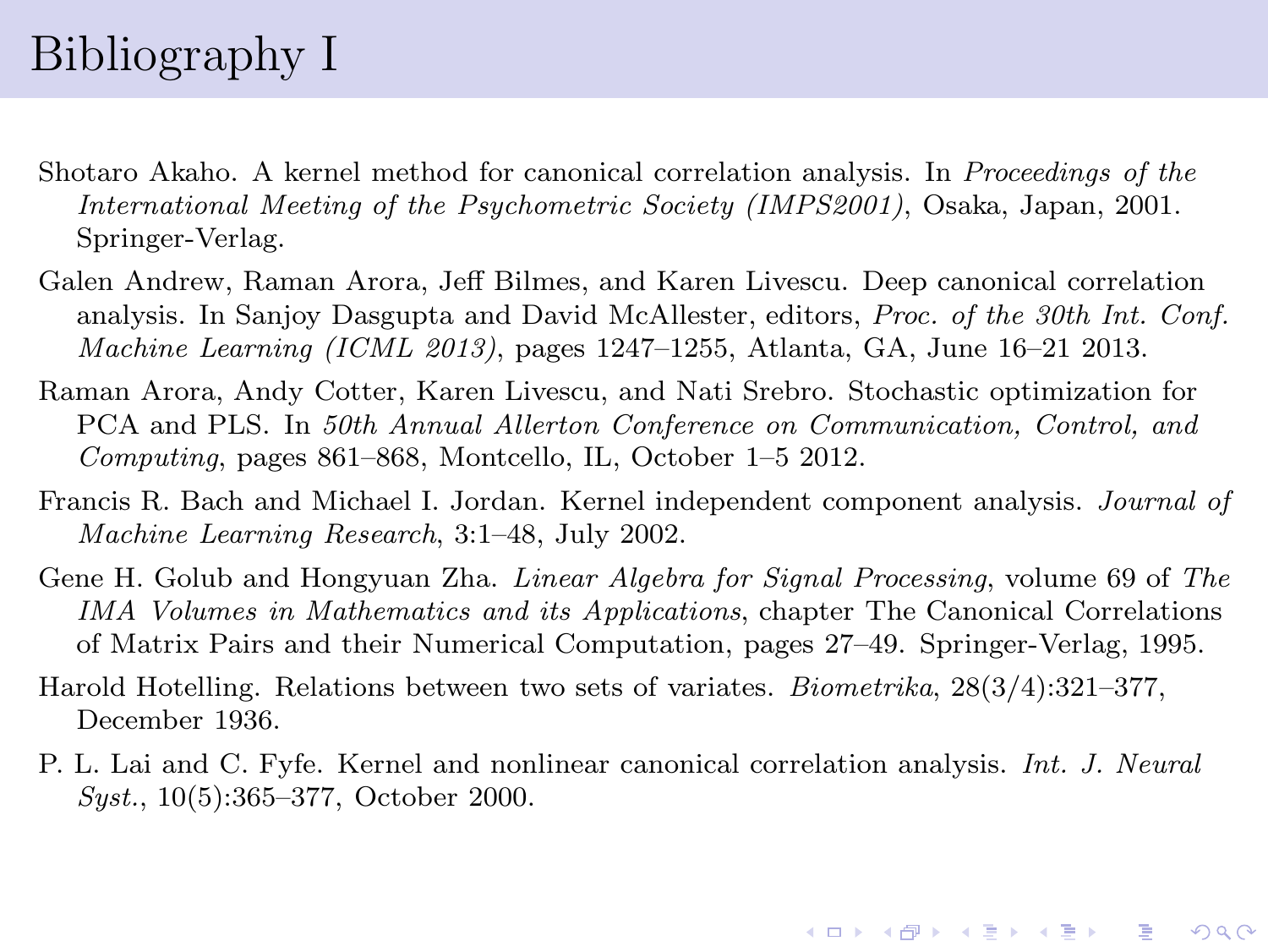## Bibliography I

- Shotaro Akaho. A kernel method for canonical correlation analysis. In Proceedings of the International Meeting of the Psychometric Society (IMPS2001), Osaka, Japan, 2001. Springer-Verlag.
- Galen Andrew, Raman Arora, Jeff Bilmes, and Karen Livescu. Deep canonical correlation analysis. In Sanjoy Dasgupta and David McAllester, editors, Proc. of the 30th Int. Conf. *Machine Learning (ICML 2013)*, pages  $1247-1255$ , Atlanta, GA, June 16–21 2013.
- Raman Arora, Andy Cotter, Karen Livescu, and Nati Srebro. Stochastic optimization for PCA and PLS. In 50th Annual Allerton Conference on Communication, Control, and Computing, pages 861–868, Montcello, IL, October 1–5 2012.
- Francis R. Bach and Michael I. Jordan. Kernel independent component analysis. Journal of Machine Learning Research, 3:1–48, July 2002.
- Gene H. Golub and Hongyuan Zha. Linear Algebra for Signal Processing, volume 69 of The IMA Volumes in Mathematics and its Applications, chapter The Canonical Correlations of Matrix Pairs and their Numerical Computation, pages 27–49. Springer-Verlag, 1995.
- Harold Hotelling. Relations between two sets of variates. Biometrika, 28(3/4):321–377, December 1936.
- P. L. Lai and C. Fyfe. Kernel and nonlinear canonical correlation analysis. Int. J. Neural Syst., 10(5):365–377, October 2000.

**A DIA K B A B A B A B A A DIA K B A A Q A**